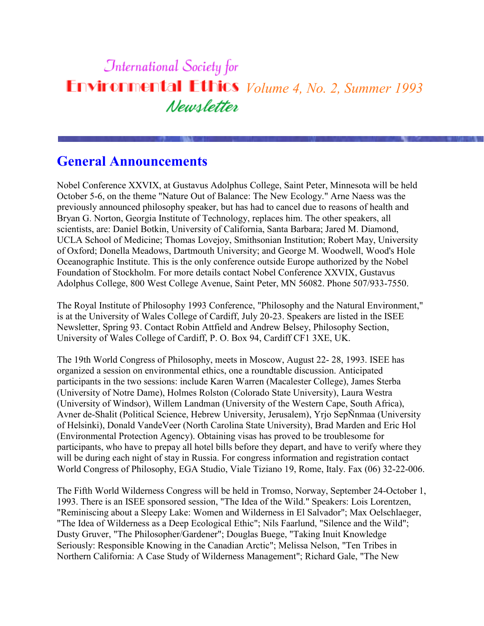# **International Society for Environmental Ethics** *Volume 4, No. 2, Summer 1993* Newsletter

### **General Announcements**

Nobel Conference XXVIX, at Gustavus Adolphus College, Saint Peter, Minnesota will be held October 5-6, on the theme "Nature Out of Balance: The New Ecology." Arne Naess was the previously announced philosophy speaker, but has had to cancel due to reasons of health and Bryan G. Norton, Georgia Institute of Technology, replaces him. The other speakers, all scientists, are: Daniel Botkin, University of California, Santa Barbara; Jared M. Diamond, UCLA School of Medicine; Thomas Lovejoy, Smithsonian Institution; Robert May, University of Oxford; Donella Meadows, Dartmouth University; and George M. Woodwell, Wood's Hole Oceanographic Institute. This is the only conference outside Europe authorized by the Nobel Foundation of Stockholm. For more details contact Nobel Conference XXVIX, Gustavus Adolphus College, 800 West College Avenue, Saint Peter, MN 56082. Phone 507/933-7550.

The Royal Institute of Philosophy 1993 Conference, "Philosophy and the Natural Environment," is at the University of Wales College of Cardiff, July 20-23. Speakers are listed in the ISEE Newsletter, Spring 93. Contact Robin Attfield and Andrew Belsey, Philosophy Section, University of Wales College of Cardiff, P. O. Box 94, Cardiff CF1 3XE, UK.

The 19th World Congress of Philosophy, meets in Moscow, August 22- 28, 1993. ISEE has organized a session on environmental ethics, one a roundtable discussion. Anticipated participants in the two sessions: include Karen Warren (Macalester College), James Sterba (University of Notre Dame), Holmes Rolston (Colorado State University), Laura Westra (University of Windsor), Willem Landman (University of the Western Cape, South Africa), Avner de-Shalit (Political Science, Hebrew University, Jerusalem), Yrjo SepÑnmaa (University of Helsinki), Donald VandeVeer (North Carolina State University), Brad Marden and Eric Hol (Environmental Protection Agency). Obtaining visas has proved to be troublesome for participants, who have to prepay all hotel bills before they depart, and have to verify where they will be during each night of stay in Russia. For congress information and registration contact World Congress of Philosophy, EGA Studio, Viale Tiziano 19, Rome, Italy. Fax (06) 32-22-006.

The Fifth World Wilderness Congress will be held in Tromso, Norway, September 24-October 1, 1993. There is an ISEE sponsored session, "The Idea of the Wild." Speakers: Lois Lorentzen, "Reminiscing about a Sleepy Lake: Women and Wilderness in El Salvador"; Max Oelschlaeger, "The Idea of Wilderness as a Deep Ecological Ethic"; Nils Faarlund, "Silence and the Wild"; Dusty Gruver, "The Philosopher/Gardener"; Douglas Buege, "Taking Inuit Knowledge Seriously: Responsible Knowing in the Canadian Arctic"; Melissa Nelson, "Ten Tribes in Northern California: A Case Study of Wilderness Management"; Richard Gale, "The New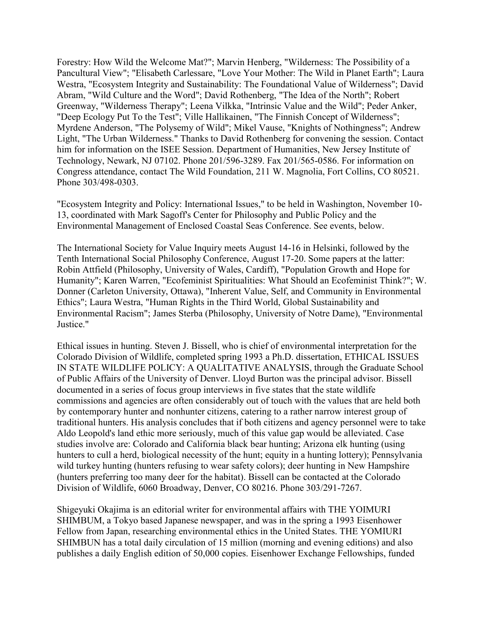Forestry: How Wild the Welcome Mat?"; Marvin Henberg, "Wilderness: The Possibility of a Pancultural View"; "Elisabeth Carlessare, "Love Your Mother: The Wild in Planet Earth"; Laura Westra, "Ecosystem Integrity and Sustainability: The Foundational Value of Wilderness"; David Abram, "Wild Culture and the Word"; David Rothenberg, "The Idea of the North"; Robert Greenway, "Wilderness Therapy"; Leena Vilkka, "Intrinsic Value and the Wild"; Peder Anker, "Deep Ecology Put To the Test"; Ville Hallikainen, "The Finnish Concept of Wilderness"; Myrdene Anderson, "The Polysemy of Wild"; Mikel Vause, "Knights of Nothingness"; Andrew Light, "The Urban Wilderness." Thanks to David Rothenberg for convening the session. Contact him for information on the ISEE Session. Department of Humanities, New Jersey Institute of Technology, Newark, NJ 07102. Phone 201/596-3289. Fax 201/565-0586. For information on Congress attendance, contact The Wild Foundation, 211 W. Magnolia, Fort Collins, CO 80521. Phone 303/498-0303.

"Ecosystem Integrity and Policy: International Issues," to be held in Washington, November 10- 13, coordinated with Mark Sagoff's Center for Philosophy and Public Policy and the Environmental Management of Enclosed Coastal Seas Conference. See events, below.

The International Society for Value Inquiry meets August 14-16 in Helsinki, followed by the Tenth International Social Philosophy Conference, August 17-20. Some papers at the latter: Robin Attfield (Philosophy, University of Wales, Cardiff), "Population Growth and Hope for Humanity"; Karen Warren, "Ecofeminist Spiritualities: What Should an Ecofeminist Think?"; W. Donner (Carleton University, Ottawa), "Inherent Value, Self, and Community in Environmental Ethics"; Laura Westra, "Human Rights in the Third World, Global Sustainability and Environmental Racism"; James Sterba (Philosophy, University of Notre Dame), "Environmental Justice."

Ethical issues in hunting. Steven J. Bissell, who is chief of environmental interpretation for the Colorado Division of Wildlife, completed spring 1993 a Ph.D. dissertation, ETHICAL ISSUES IN STATE WILDLIFE POLICY: A QUALITATIVE ANALYSIS, through the Graduate School of Public Affairs of the University of Denver. Lloyd Burton was the principal advisor. Bissell documented in a series of focus group interviews in five states that the state wildlife commissions and agencies are often considerably out of touch with the values that are held both by contemporary hunter and nonhunter citizens, catering to a rather narrow interest group of traditional hunters. His analysis concludes that if both citizens and agency personnel were to take Aldo Leopold's land ethic more seriously, much of this value gap would be alleviated. Case studies involve are: Colorado and California black bear hunting; Arizona elk hunting (using hunters to cull a herd, biological necessity of the hunt; equity in a hunting lottery); Pennsylvania wild turkey hunting (hunters refusing to wear safety colors); deer hunting in New Hampshire (hunters preferring too many deer for the habitat). Bissell can be contacted at the Colorado Division of Wildlife, 6060 Broadway, Denver, CO 80216. Phone 303/291-7267.

Shigeyuki Okajima is an editorial writer for environmental affairs with THE YOIMURI SHIMBUM, a Tokyo based Japanese newspaper, and was in the spring a 1993 Eisenhower Fellow from Japan, researching environmental ethics in the United States. THE YOMIURI SHIMBUN has a total daily circulation of 15 million (morning and evening editions) and also publishes a daily English edition of 50,000 copies. Eisenhower Exchange Fellowships, funded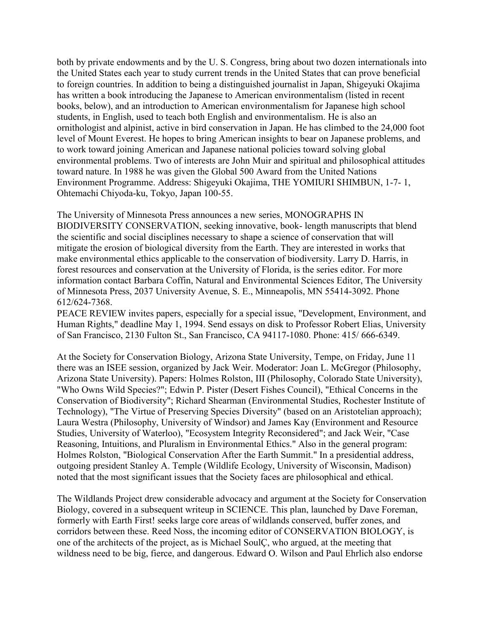both by private endowments and by the U. S. Congress, bring about two dozen internationals into the United States each year to study current trends in the United States that can prove beneficial to foreign countries. In addition to being a distinguished journalist in Japan, Shigeyuki Okajima has written a book introducing the Japanese to American environmentalism (listed in recent books, below), and an introduction to American environmentalism for Japanese high school students, in English, used to teach both English and environmentalism. He is also an ornithologist and alpinist, active in bird conservation in Japan. He has climbed to the 24,000 foot level of Mount Everest. He hopes to bring American insights to bear on Japanese problems, and to work toward joining American and Japanese national policies toward solving global environmental problems. Two of interests are John Muir and spiritual and philosophical attitudes toward nature. In 1988 he was given the Global 500 Award from the United Nations Environment Programme. Address: Shigeyuki Okajima, THE YOMIURI SHIMBUN, 1-7- 1, Ohtemachi Chiyoda-ku, Tokyo, Japan 100-55.

The University of Minnesota Press announces a new series, MONOGRAPHS IN BIODIVERSITY CONSERVATION, seeking innovative, book- length manuscripts that blend the scientific and social disciplines necessary to shape a science of conservation that will mitigate the erosion of biological diversity from the Earth. They are interested in works that make environmental ethics applicable to the conservation of biodiversity. Larry D. Harris, in forest resources and conservation at the University of Florida, is the series editor. For more information contact Barbara Coffin, Natural and Environmental Sciences Editor, The University of Minnesota Press, 2037 University Avenue, S. E., Minneapolis, MN 55414-3092. Phone 612/624-7368.

PEACE REVIEW invites papers, especially for a special issue, "Development, Environment, and Human Rights," deadline May 1, 1994. Send essays on disk to Professor Robert Elias, University of San Francisco, 2130 Fulton St., San Francisco, CA 94117-1080. Phone: 415/ 666-6349.

At the Society for Conservation Biology, Arizona State University, Tempe, on Friday, June 11 there was an ISEE session, organized by Jack Weir. Moderator: Joan L. McGregor (Philosophy, Arizona State University). Papers: Holmes Rolston, III (Philosophy, Colorado State University), "Who Owns Wild Species?"; Edwin P. Pister (Desert Fishes Council), "Ethical Concerns in the Conservation of Biodiversity"; Richard Shearman (Environmental Studies, Rochester Institute of Technology), "The Virtue of Preserving Species Diversity" (based on an Aristotelian approach); Laura Westra (Philosophy, University of Windsor) and James Kay (Environment and Resource Studies, University of Waterloo), "Ecosystem Integrity Reconsidered"; and Jack Weir, "Case Reasoning, Intuitions, and Pluralism in Environmental Ethics." Also in the general program: Holmes Rolston, "Biological Conservation After the Earth Summit." In a presidential address, outgoing president Stanley A. Temple (Wildlife Ecology, University of Wisconsin, Madison) noted that the most significant issues that the Society faces are philosophical and ethical.

The Wildlands Project drew considerable advocacy and argument at the Society for Conservation Biology, covered in a subsequent writeup in SCIENCE. This plan, launched by Dave Foreman, formerly with Earth First! seeks large core areas of wildlands conserved, buffer zones, and corridors between these. Reed Noss, the incoming editor of CONSERVATION BIOLOGY, is one of the architects of the project, as is Michael SoulÇ, who argued, at the meeting that wildness need to be big, fierce, and dangerous. Edward O. Wilson and Paul Ehrlich also endorse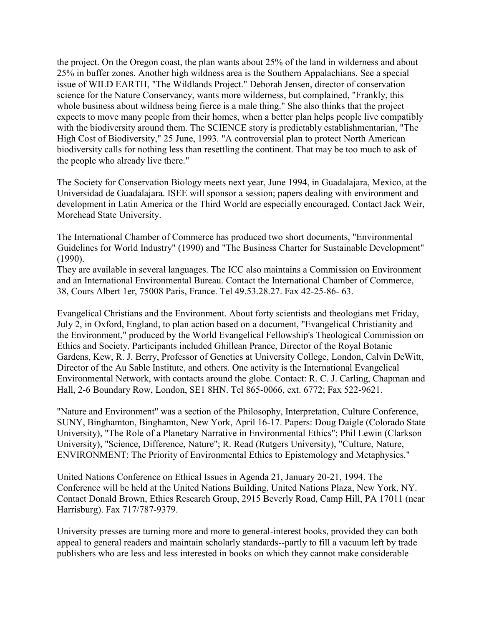the project. On the Oregon coast, the plan wants about 25% of the land in wilderness and about 25% in buffer zones. Another high wildness area is the Southern Appalachians. See a special issue of WILD EARTH, "The Wildlands Project." Deborah Jensen, director of conservation science for the Nature Conservancy, wants more wilderness, but complained, "Frankly, this whole business about wildness being fierce is a male thing." She also thinks that the project expects to move many people from their homes, when a better plan helps people live compatibly with the biodiversity around them. The SCIENCE story is predictably establishmentarian, "The High Cost of Biodiversity," 25 June, 1993. "A controversial plan to protect North American biodiversity calls for nothing less than resettling the continent. That may be too much to ask of the people who already live there."

The Society for Conservation Biology meets next year, June 1994, in Guadalajara, Mexico, at the Universidad de Guadalajara. ISEE will sponsor a session; papers dealing with environment and development in Latin America or the Third World are especially encouraged. Contact Jack Weir, Morehead State University.

The International Chamber of Commerce has produced two short documents, "Environmental Guidelines for World Industry" (1990) and "The Business Charter for Sustainable Development" (1990).

They are available in several languages. The ICC also maintains a Commission on Environment and an International Environmental Bureau. Contact the International Chamber of Commerce, 38, Cours Albert 1er, 75008 Paris, France. Tel 49.53.28.27. Fax 42-25-86- 63.

Evangelical Christians and the Environment. About forty scientists and theologians met Friday, July 2, in Oxford, England, to plan action based on a document, "Evangelical Christianity and the Environment," produced by the World Evangelical Fellowship's Theological Commission on Ethics and Society. Participants included Ghillean Prance, Director of the Royal Botanic Gardens, Kew, R. J. Berry, Professor of Genetics at University College, London, Calvin DeWitt, Director of the Au Sable Institute, and others. One activity is the International Evangelical Environmental Network, with contacts around the globe. Contact: R. C. J. Carling, Chapman and Hall, 2-6 Boundary Row, London, SE1 8HN. Tel 865-0066, ext. 6772; Fax 522-9621.

"Nature and Environment" was a section of the Philosophy, Interpretation, Culture Conference, SUNY, Binghamton, Binghamton, New York, April 16-17. Papers: Doug Daigle (Colorado State University), "The Role of a Planetary Narrative in Environmental Ethics"; Phil Lewin (Clarkson University), "Science, Difference, Nature"; R. Read (Rutgers University), "Culture, Nature, ENVIRONMENT: The Priority of Environmental Ethics to Epistemology and Metaphysics."

United Nations Conference on Ethical Issues in Agenda 21, January 20-21, 1994. The Conference will be held at the United Nations Building, United Nations Plaza, New York, NY. Contact Donald Brown, Ethics Research Group, 2915 Beverly Road, Camp Hill, PA 17011 (near Harrisburg). Fax 717/787-9379.

University presses are turning more and more to general-interest books, provided they can both appeal to general readers and maintain scholarly standards--partly to fill a vacuum left by trade publishers who are less and less interested in books on which they cannot make considerable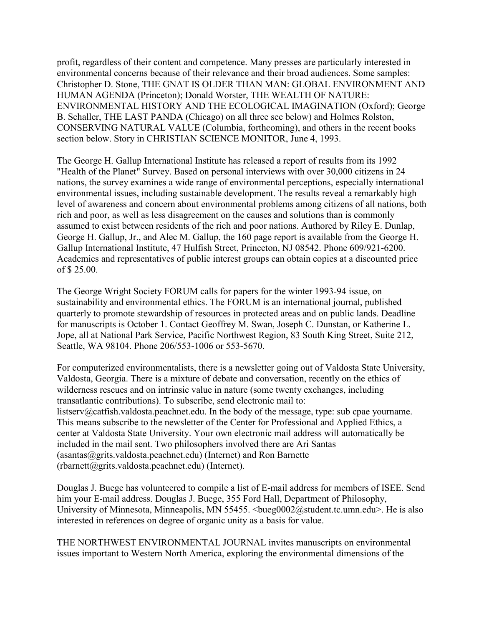profit, regardless of their content and competence. Many presses are particularly interested in environmental concerns because of their relevance and their broad audiences. Some samples: Christopher D. Stone, THE GNAT IS OLDER THAN MAN: GLOBAL ENVIRONMENT AND HUMAN AGENDA (Princeton); Donald Worster, THE WEALTH OF NATURE: ENVIRONMENTAL HISTORY AND THE ECOLOGICAL IMAGINATION (Oxford); George B. Schaller, THE LAST PANDA (Chicago) on all three see below) and Holmes Rolston, CONSERVING NATURAL VALUE (Columbia, forthcoming), and others in the recent books section below. Story in CHRISTIAN SCIENCE MONITOR, June 4, 1993.

The George H. Gallup International Institute has released a report of results from its 1992 "Health of the Planet" Survey. Based on personal interviews with over 30,000 citizens in 24 nations, the survey examines a wide range of environmental perceptions, especially international environmental issues, including sustainable development. The results reveal a remarkably high level of awareness and concern about environmental problems among citizens of all nations, both rich and poor, as well as less disagreement on the causes and solutions than is commonly assumed to exist between residents of the rich and poor nations. Authored by Riley E. Dunlap, George H. Gallup, Jr., and Alec M. Gallup, the 160 page report is available from the George H. Gallup International Institute, 47 Hulfish Street, Princeton, NJ 08542. Phone 609/921-6200. Academics and representatives of public interest groups can obtain copies at a discounted price of \$ 25.00.

The George Wright Society FORUM calls for papers for the winter 1993-94 issue, on sustainability and environmental ethics. The FORUM is an international journal, published quarterly to promote stewardship of resources in protected areas and on public lands. Deadline for manuscripts is October 1. Contact Geoffrey M. Swan, Joseph C. Dunstan, or Katherine L. Jope, all at National Park Service, Pacific Northwest Region, 83 South King Street, Suite 212, Seattle, WA 98104. Phone 206/553-1006 or 553-5670.

For computerized environmentalists, there is a newsletter going out of Valdosta State University, Valdosta, Georgia. There is a mixture of debate and conversation, recently on the ethics of wilderness rescues and on intrinsic value in nature (some twenty exchanges, including transatlantic contributions). To subscribe, send electronic mail to: listserv@catfish.valdosta.peachnet.edu. In the body of the message, type: sub cpae yourname. This means subscribe to the newsletter of the Center for Professional and Applied Ethics, a center at Valdosta State University. Your own electronic mail address will automatically be included in the mail sent. Two philosophers involved there are Ari Santas  $(a<sub>s</sub>)$  asantas $(a<sub>s</sub>)$ grits.valdosta.peachnet.edu) (Internet) and Ron Barnette (rbarnett@grits.valdosta.peachnet.edu) (Internet).

Douglas J. Buege has volunteered to compile a list of E-mail address for members of ISEE. Send him your E-mail address. Douglas J. Buege, 355 Ford Hall, Department of Philosophy, University of Minnesota, Minneapolis, MN 55455. <br/>bueg0002@student.tc.umn.edu>. He is also interested in references on degree of organic unity as a basis for value.

THE NORTHWEST ENVIRONMENTAL JOURNAL invites manuscripts on environmental issues important to Western North America, exploring the environmental dimensions of the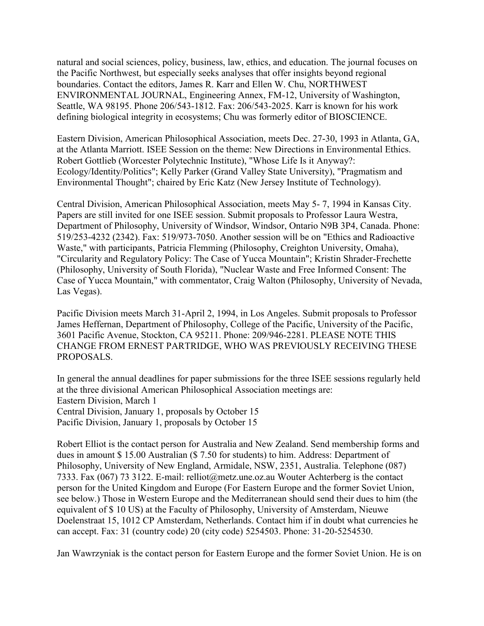natural and social sciences, policy, business, law, ethics, and education. The journal focuses on the Pacific Northwest, but especially seeks analyses that offer insights beyond regional boundaries. Contact the editors, James R. Karr and Ellen W. Chu, NORTHWEST ENVIRONMENTAL JOURNAL, Engineering Annex, FM-12, University of Washington, Seattle, WA 98195. Phone 206/543-1812. Fax: 206/543-2025. Karr is known for his work defining biological integrity in ecosystems; Chu was formerly editor of BIOSCIENCE.

Eastern Division, American Philosophical Association, meets Dec. 27-30, 1993 in Atlanta, GA, at the Atlanta Marriott. ISEE Session on the theme: New Directions in Environmental Ethics. Robert Gottlieb (Worcester Polytechnic Institute), "Whose Life Is it Anyway?: Ecology/Identity/Politics"; Kelly Parker (Grand Valley State University), "Pragmatism and Environmental Thought"; chaired by Eric Katz (New Jersey Institute of Technology).

Central Division, American Philosophical Association, meets May 5- 7, 1994 in Kansas City. Papers are still invited for one ISEE session. Submit proposals to Professor Laura Westra, Department of Philosophy, University of Windsor, Windsor, Ontario N9B 3P4, Canada. Phone: 519/253-4232 (2342). Fax: 519/973-7050. Another session will be on "Ethics and Radioactive Waste," with participants, Patricia Flemming (Philosophy, Creighton University, Omaha), "Circularity and Regulatory Policy: The Case of Yucca Mountain"; Kristin Shrader-Frechette (Philosophy, University of South Florida), "Nuclear Waste and Free Informed Consent: The Case of Yucca Mountain," with commentator, Craig Walton (Philosophy, University of Nevada, Las Vegas).

Pacific Division meets March 31-April 2, 1994, in Los Angeles. Submit proposals to Professor James Heffernan, Department of Philosophy, College of the Pacific, University of the Pacific, 3601 Pacific Avenue, Stockton, CA 95211. Phone: 209/946-2281. PLEASE NOTE THIS CHANGE FROM ERNEST PARTRIDGE, WHO WAS PREVIOUSLY RECEIVING THESE PROPOSALS.

In general the annual deadlines for paper submissions for the three ISEE sessions regularly held at the three divisional American Philosophical Association meetings are: Eastern Division, March 1 Central Division, January 1, proposals by October 15 Pacific Division, January 1, proposals by October 15

Robert Elliot is the contact person for Australia and New Zealand. Send membership forms and dues in amount \$ 15.00 Australian (\$ 7.50 for students) to him. Address: Department of Philosophy, University of New England, Armidale, NSW, 2351, Australia. Telephone (087) 7333. Fax (067) 73 3122. E-mail: relliot@metz.une.oz.au Wouter Achterberg is the contact person for the United Kingdom and Europe (For Eastern Europe and the former Soviet Union, see below.) Those in Western Europe and the Mediterranean should send their dues to him (the equivalent of \$ 10 US) at the Faculty of Philosophy, University of Amsterdam, Nieuwe Doelenstraat 15, 1012 CP Amsterdam, Netherlands. Contact him if in doubt what currencies he can accept. Fax: 31 (country code) 20 (city code) 5254503. Phone: 31-20-5254530.

Jan Wawrzyniak is the contact person for Eastern Europe and the former Soviet Union. He is on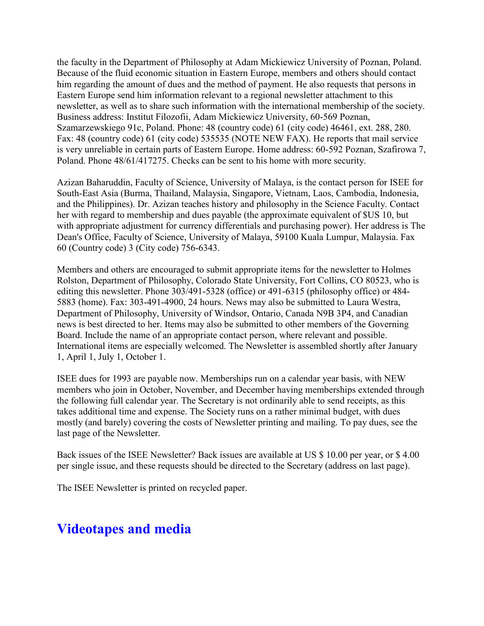the faculty in the Department of Philosophy at Adam Mickiewicz University of Poznan, Poland. Because of the fluid economic situation in Eastern Europe, members and others should contact him regarding the amount of dues and the method of payment. He also requests that persons in Eastern Europe send him information relevant to a regional newsletter attachment to this newsletter, as well as to share such information with the international membership of the society. Business address: Institut Filozofii, Adam Mickiewicz University, 60-569 Poznan, Szamarzewskiego 91c, Poland. Phone: 48 (country code) 61 (city code) 46461, ext. 288, 280. Fax: 48 (country code) 61 (city code) 535535 (NOTE NEW FAX). He reports that mail service is very unreliable in certain parts of Eastern Europe. Home address: 60-592 Poznan, Szafirowa 7, Poland. Phone 48/61/417275. Checks can be sent to his home with more security.

Azizan Baharuddin, Faculty of Science, University of Malaya, is the contact person for ISEE for South-East Asia (Burma, Thailand, Malaysia, Singapore, Vietnam, Laos, Cambodia, Indonesia, and the Philippines). Dr. Azizan teaches history and philosophy in the Science Faculty. Contact her with regard to membership and dues payable (the approximate equivalent of \$US 10, but with appropriate adjustment for currency differentials and purchasing power). Her address is The Dean's Office, Faculty of Science, University of Malaya, 59100 Kuala Lumpur, Malaysia. Fax 60 (Country code) 3 (City code) 756-6343.

Members and others are encouraged to submit appropriate items for the newsletter to Holmes Rolston, Department of Philosophy, Colorado State University, Fort Collins, CO 80523, who is editing this newsletter. Phone 303/491-5328 (office) or 491-6315 (philosophy office) or 484- 5883 (home). Fax: 303-491-4900, 24 hours. News may also be submitted to Laura Westra, Department of Philosophy, University of Windsor, Ontario, Canada N9B 3P4, and Canadian news is best directed to her. Items may also be submitted to other members of the Governing Board. Include the name of an appropriate contact person, where relevant and possible. International items are especially welcomed. The Newsletter is assembled shortly after January 1, April 1, July 1, October 1.

ISEE dues for 1993 are payable now. Memberships run on a calendar year basis, with NEW members who join in October, November, and December having memberships extended through the following full calendar year. The Secretary is not ordinarily able to send receipts, as this takes additional time and expense. The Society runs on a rather minimal budget, with dues mostly (and barely) covering the costs of Newsletter printing and mailing. To pay dues, see the last page of the Newsletter.

Back issues of the ISEE Newsletter? Back issues are available at US \$ 10.00 per year, or \$ 4.00 per single issue, and these requests should be directed to the Secretary (address on last page).

The ISEE Newsletter is printed on recycled paper.

### **Videotapes and media**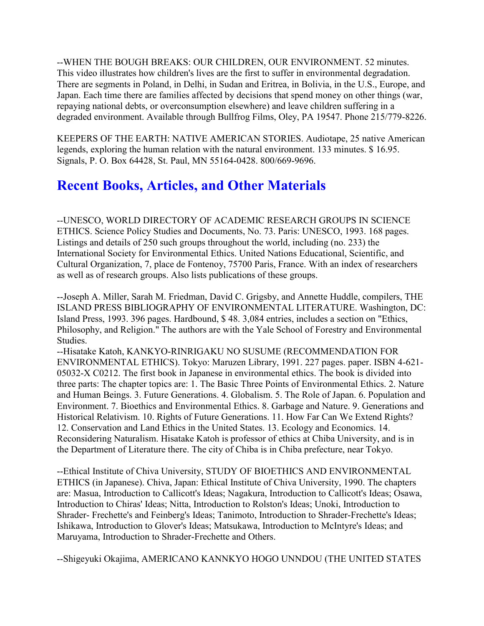--WHEN THE BOUGH BREAKS: OUR CHILDREN, OUR ENVIRONMENT. 52 minutes. This video illustrates how children's lives are the first to suffer in environmental degradation. There are segments in Poland, in Delhi, in Sudan and Eritrea, in Bolivia, in the U.S., Europe, and Japan. Each time there are families affected by decisions that spend money on other things (war, repaying national debts, or overconsumption elsewhere) and leave children suffering in a degraded environment. Available through Bullfrog Films, Oley, PA 19547. Phone 215/779-8226.

KEEPERS OF THE EARTH: NATIVE AMERICAN STORIES. Audiotape, 25 native American legends, exploring the human relation with the natural environment. 133 minutes. \$ 16.95. Signals, P. O. Box 64428, St. Paul, MN 55164-0428. 800/669-9696.

# **Recent Books, Articles, and Other Materials**

--UNESCO, WORLD DIRECTORY OF ACADEMIC RESEARCH GROUPS IN SCIENCE ETHICS. Science Policy Studies and Documents, No. 73. Paris: UNESCO, 1993. 168 pages. Listings and details of 250 such groups throughout the world, including (no. 233) the International Society for Environmental Ethics. United Nations Educational, Scientific, and Cultural Organization, 7, place de Fontenoy, 75700 Paris, France. With an index of researchers as well as of research groups. Also lists publications of these groups.

--Joseph A. Miller, Sarah M. Friedman, David C. Grigsby, and Annette Huddle, compilers, THE ISLAND PRESS BIBLIOGRAPHY OF ENVIRONMENTAL LITERATURE. Washington, DC: Island Press, 1993. 396 pages. Hardbound, \$ 48. 3,084 entries, includes a section on "Ethics, Philosophy, and Religion." The authors are with the Yale School of Forestry and Environmental Studies.

--Hisatake Katoh, KANKYO-RINRIGAKU NO SUSUME (RECOMMENDATION FOR ENVIRONMENTAL ETHICS). Tokyo: Maruzen Library, 1991. 227 pages. paper. ISBN 4-621- 05032-X C0212. The first book in Japanese in environmental ethics. The book is divided into three parts: The chapter topics are: 1. The Basic Three Points of Environmental Ethics. 2. Nature and Human Beings. 3. Future Generations. 4. Globalism. 5. The Role of Japan. 6. Population and Environment. 7. Bioethics and Environmental Ethics. 8. Garbage and Nature. 9. Generations and Historical Relativism. 10. Rights of Future Generations. 11. How Far Can We Extend Rights? 12. Conservation and Land Ethics in the United States. 13. Ecology and Economics. 14. Reconsidering Naturalism. Hisatake Katoh is professor of ethics at Chiba University, and is in the Department of Literature there. The city of Chiba is in Chiba prefecture, near Tokyo.

--Ethical Institute of Chiva University, STUDY OF BIOETHICS AND ENVIRONMENTAL ETHICS (in Japanese). Chiva, Japan: Ethical Institute of Chiva University, 1990. The chapters are: Masua, Introduction to Callicott's Ideas; Nagakura, Introduction to Callicott's Ideas; Osawa, Introduction to Chiras' Ideas; Nitta, Introduction to Rolston's Ideas; Unoki, Introduction to Shrader- Frechette's and Feinberg's Ideas; Tanimoto, Introduction to Shrader-Frechette's Ideas; Ishikawa, Introduction to Glover's Ideas; Matsukawa, Introduction to McIntyre's Ideas; and Maruyama, Introduction to Shrader-Frechette and Others.

--Shigeyuki Okajima, AMERICANO KANNKYO HOGO UNNDOU (THE UNITED STATES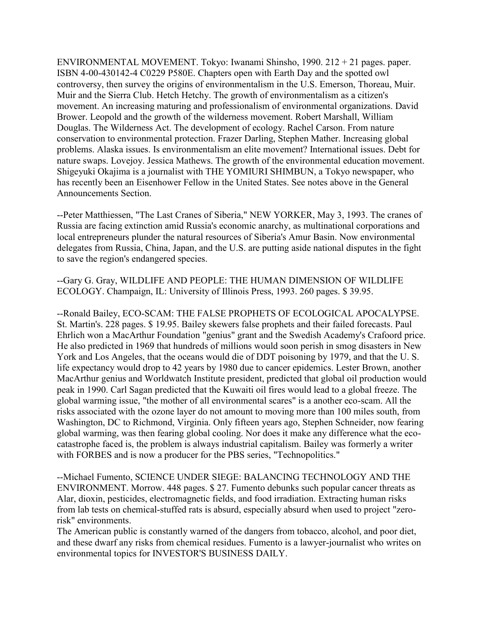ENVIRONMENTAL MOVEMENT. Tokyo: Iwanami Shinsho, 1990. 212 + 21 pages. paper. ISBN 4-00-430142-4 C0229 P580E. Chapters open with Earth Day and the spotted owl controversy, then survey the origins of environmentalism in the U.S. Emerson, Thoreau, Muir. Muir and the Sierra Club. Hetch Hetchy. The growth of environmentalism as a citizen's movement. An increasing maturing and professionalism of environmental organizations. David Brower. Leopold and the growth of the wilderness movement. Robert Marshall, William Douglas. The Wilderness Act. The development of ecology. Rachel Carson. From nature conservation to environmental protection. Frazer Darling, Stephen Mather. Increasing global problems. Alaska issues. Is environmentalism an elite movement? International issues. Debt for nature swaps. Lovejoy. Jessica Mathews. The growth of the environmental education movement. Shigeyuki Okajima is a journalist with THE YOMIURI SHIMBUN, a Tokyo newspaper, who has recently been an Eisenhower Fellow in the United States. See notes above in the General Announcements Section.

--Peter Matthiessen, "The Last Cranes of Siberia," NEW YORKER, May 3, 1993. The cranes of Russia are facing extinction amid Russia's economic anarchy, as multinational corporations and local entrepreneurs plunder the natural resources of Siberia's Amur Basin. Now environmental delegates from Russia, China, Japan, and the U.S. are putting aside national disputes in the fight to save the region's endangered species.

--Gary G. Gray, WILDLIFE AND PEOPLE: THE HUMAN DIMENSION OF WILDLIFE ECOLOGY. Champaign, IL: University of Illinois Press, 1993. 260 pages. \$ 39.95.

--Ronald Bailey, ECO-SCAM: THE FALSE PROPHETS OF ECOLOGICAL APOCALYPSE. St. Martin's. 228 pages. \$ 19.95. Bailey skewers false prophets and their failed forecasts. Paul Ehrlich won a MacArthur Foundation "genius" grant and the Swedish Academy's Crafoord price. He also predicted in 1969 that hundreds of millions would soon perish in smog disasters in New York and Los Angeles, that the oceans would die of DDT poisoning by 1979, and that the U. S. life expectancy would drop to 42 years by 1980 due to cancer epidemics. Lester Brown, another MacArthur genius and Worldwatch Institute president, predicted that global oil production would peak in 1990. Carl Sagan predicted that the Kuwaiti oil fires would lead to a global freeze. The global warming issue, "the mother of all environmental scares" is a another eco-scam. All the risks associated with the ozone layer do not amount to moving more than 100 miles south, from Washington, DC to Richmond, Virginia. Only fifteen years ago, Stephen Schneider, now fearing global warming, was then fearing global cooling. Nor does it make any difference what the ecocatastrophe faced is, the problem is always industrial capitalism. Bailey was formerly a writer with FORBES and is now a producer for the PBS series, "Technopolitics."

--Michael Fumento, SCIENCE UNDER SIEGE: BALANCING TECHNOLOGY AND THE ENVIRONMENT. Morrow. 448 pages. \$ 27. Fumento debunks such popular cancer threats as Alar, dioxin, pesticides, electromagnetic fields, and food irradiation. Extracting human risks from lab tests on chemical-stuffed rats is absurd, especially absurd when used to project "zerorisk" environments.

The American public is constantly warned of the dangers from tobacco, alcohol, and poor diet, and these dwarf any risks from chemical residues. Fumento is a lawyer-journalist who writes on environmental topics for INVESTOR'S BUSINESS DAILY.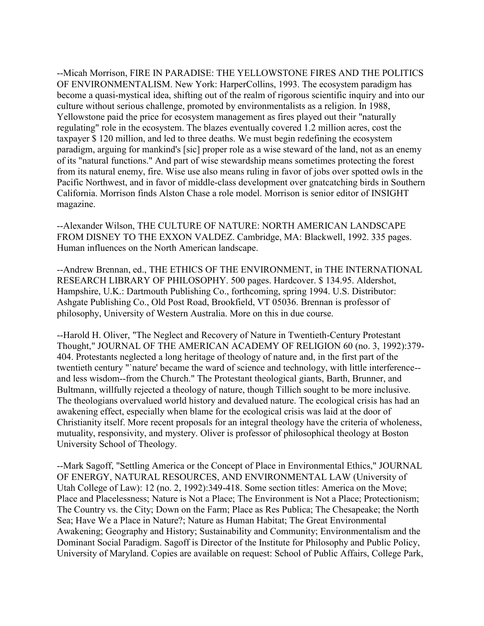--Micah Morrison, FIRE IN PARADISE: THE YELLOWSTONE FIRES AND THE POLITICS OF ENVIRONMENTALISM. New York: HarperCollins, 1993. The ecosystem paradigm has become a quasi-mystical idea, shifting out of the realm of rigorous scientific inquiry and into our culture without serious challenge, promoted by environmentalists as a religion. In 1988, Yellowstone paid the price for ecosystem management as fires played out their "naturally regulating" role in the ecosystem. The blazes eventually covered 1.2 million acres, cost the taxpayer \$ 120 million, and led to three deaths. We must begin redefining the ecosystem paradigm, arguing for mankind's [sic] proper role as a wise steward of the land, not as an enemy of its "natural functions." And part of wise stewardship means sometimes protecting the forest from its natural enemy, fire. Wise use also means ruling in favor of jobs over spotted owls in the Pacific Northwest, and in favor of middle-class development over gnatcatching birds in Southern California. Morrison finds Alston Chase a role model. Morrison is senior editor of INSIGHT magazine.

--Alexander Wilson, THE CULTURE OF NATURE: NORTH AMERICAN LANDSCAPE FROM DISNEY TO THE EXXON VALDEZ. Cambridge, MA: Blackwell, 1992. 335 pages. Human influences on the North American landscape.

--Andrew Brennan, ed., THE ETHICS OF THE ENVIRONMENT, in THE INTERNATIONAL RESEARCH LIBRARY OF PHILOSOPHY. 500 pages. Hardcover. \$ 134.95. Aldershot, Hampshire, U.K.: Dartmouth Publishing Co., forthcoming, spring 1994. U.S. Distributor: Ashgate Publishing Co., Old Post Road, Brookfield, VT 05036. Brennan is professor of philosophy, University of Western Australia. More on this in due course.

--Harold H. Oliver, "The Neglect and Recovery of Nature in Twentieth-Century Protestant Thought," JOURNAL OF THE AMERICAN ACADEMY OF RELIGION 60 (no. 3, 1992):379- 404. Protestants neglected a long heritage of theology of nature and, in the first part of the twentieth century "`nature' became the ward of science and technology, with little interference- and less wisdom--from the Church." The Protestant theological giants, Barth, Brunner, and Bultmann, willfully rejected a theology of nature, though Tillich sought to be more inclusive. The theologians overvalued world history and devalued nature. The ecological crisis has had an awakening effect, especially when blame for the ecological crisis was laid at the door of Christianity itself. More recent proposals for an integral theology have the criteria of wholeness, mutuality, responsivity, and mystery. Oliver is professor of philosophical theology at Boston University School of Theology.

--Mark Sagoff, "Settling America or the Concept of Place in Environmental Ethics," JOURNAL OF ENERGY, NATURAL RESOURCES, AND ENVIRONMENTAL LAW (University of Utah College of Law): 12 (no. 2, 1992):349-418. Some section titles: America on the Move; Place and Placelessness; Nature is Not a Place; The Environment is Not a Place; Protectionism; The Country vs. the City; Down on the Farm; Place as Res Publica; The Chesapeake; the North Sea; Have We a Place in Nature?; Nature as Human Habitat; The Great Environmental Awakening; Geography and History; Sustainability and Community; Environmentalism and the Dominant Social Paradigm. Sagoff is Director of the Institute for Philosophy and Public Policy, University of Maryland. Copies are available on request: School of Public Affairs, College Park,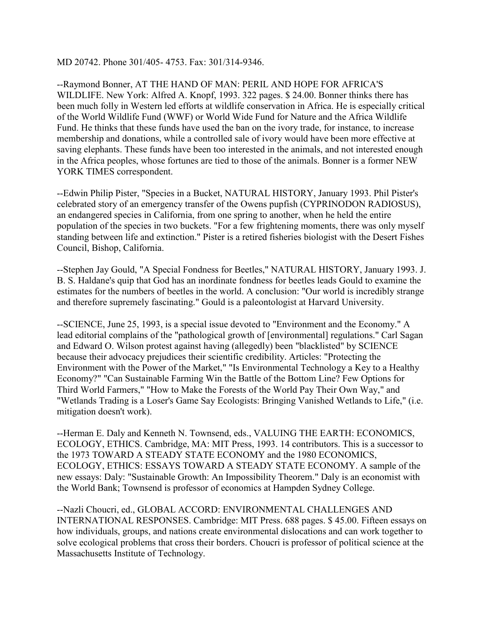MD 20742. Phone 301/405- 4753. Fax: 301/314-9346.

--Raymond Bonner, AT THE HAND OF MAN: PERIL AND HOPE FOR AFRICA'S WILDLIFE. New York: Alfred A. Knopf, 1993. 322 pages. \$ 24.00. Bonner thinks there has been much folly in Western led efforts at wildlife conservation in Africa. He is especially critical of the World Wildlife Fund (WWF) or World Wide Fund for Nature and the Africa Wildlife Fund. He thinks that these funds have used the ban on the ivory trade, for instance, to increase membership and donations, while a controlled sale of ivory would have been more effective at saving elephants. These funds have been too interested in the animals, and not interested enough in the Africa peoples, whose fortunes are tied to those of the animals. Bonner is a former NEW YORK TIMES correspondent.

--Edwin Philip Pister, "Species in a Bucket, NATURAL HISTORY, January 1993. Phil Pister's celebrated story of an emergency transfer of the Owens pupfish (CYPRINODON RADIOSUS), an endangered species in California, from one spring to another, when he held the entire population of the species in two buckets. "For a few frightening moments, there was only myself standing between life and extinction." Pister is a retired fisheries biologist with the Desert Fishes Council, Bishop, California.

--Stephen Jay Gould, "A Special Fondness for Beetles," NATURAL HISTORY, January 1993. J. B. S. Haldane's quip that God has an inordinate fondness for beetles leads Gould to examine the estimates for the numbers of beetles in the world. A conclusion: "Our world is incredibly strange and therefore supremely fascinating." Gould is a paleontologist at Harvard University.

--SCIENCE, June 25, 1993, is a special issue devoted to "Environment and the Economy." A lead editorial complains of the "pathological growth of [environmental] regulations." Carl Sagan and Edward O. Wilson protest against having (allegedly) been "blacklisted" by SCIENCE because their advocacy prejudices their scientific credibility. Articles: "Protecting the Environment with the Power of the Market," "Is Environmental Technology a Key to a Healthy Economy?" "Can Sustainable Farming Win the Battle of the Bottom Line? Few Options for Third World Farmers," "How to Make the Forests of the World Pay Their Own Way," and "Wetlands Trading is a Loser's Game Say Ecologists: Bringing Vanished Wetlands to Life," (i.e. mitigation doesn't work).

--Herman E. Daly and Kenneth N. Townsend, eds., VALUING THE EARTH: ECONOMICS, ECOLOGY, ETHICS. Cambridge, MA: MIT Press, 1993. 14 contributors. This is a successor to the 1973 TOWARD A STEADY STATE ECONOMY and the 1980 ECONOMICS, ECOLOGY, ETHICS: ESSAYS TOWARD A STEADY STATE ECONOMY. A sample of the new essays: Daly: "Sustainable Growth: An Impossibility Theorem." Daly is an economist with the World Bank; Townsend is professor of economics at Hampden Sydney College.

--Nazli Choucri, ed., GLOBAL ACCORD: ENVIRONMENTAL CHALLENGES AND INTERNATIONAL RESPONSES. Cambridge: MIT Press. 688 pages. \$ 45.00. Fifteen essays on how individuals, groups, and nations create environmental dislocations and can work together to solve ecological problems that cross their borders. Choucri is professor of political science at the Massachusetts Institute of Technology.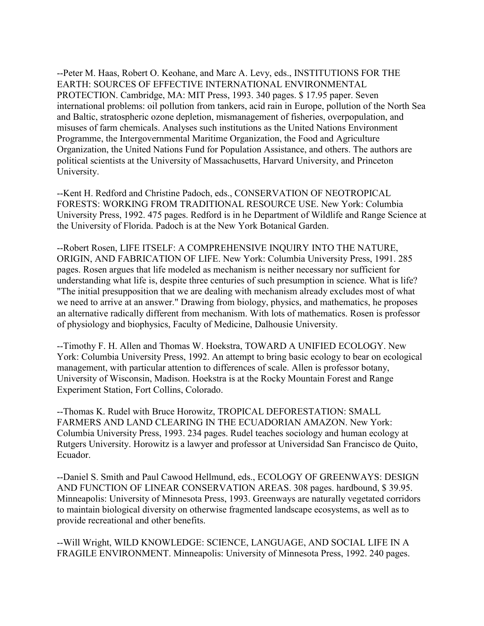--Peter M. Haas, Robert O. Keohane, and Marc A. Levy, eds., INSTITUTIONS FOR THE EARTH: SOURCES OF EFFECTIVE INTERNATIONAL ENVIRONMENTAL PROTECTION. Cambridge, MA: MIT Press, 1993. 340 pages. \$ 17.95 paper. Seven international problems: oil pollution from tankers, acid rain in Europe, pollution of the North Sea and Baltic, stratospheric ozone depletion, mismanagement of fisheries, overpopulation, and misuses of farm chemicals. Analyses such institutions as the United Nations Environment Programme, the Intergovernmental Maritime Organization, the Food and Agriculture Organization, the United Nations Fund for Population Assistance, and others. The authors are political scientists at the University of Massachusetts, Harvard University, and Princeton University.

--Kent H. Redford and Christine Padoch, eds., CONSERVATION OF NEOTROPICAL FORESTS: WORKING FROM TRADITIONAL RESOURCE USE. New York: Columbia University Press, 1992. 475 pages. Redford is in he Department of Wildlife and Range Science at the University of Florida. Padoch is at the New York Botanical Garden.

--Robert Rosen, LIFE ITSELF: A COMPREHENSIVE INQUIRY INTO THE NATURE, ORIGIN, AND FABRICATION OF LIFE. New York: Columbia University Press, 1991. 285 pages. Rosen argues that life modeled as mechanism is neither necessary nor sufficient for understanding what life is, despite three centuries of such presumption in science. What is life? "The initial presupposition that we are dealing with mechanism already excludes most of what we need to arrive at an answer." Drawing from biology, physics, and mathematics, he proposes an alternative radically different from mechanism. With lots of mathematics. Rosen is professor of physiology and biophysics, Faculty of Medicine, Dalhousie University.

--Timothy F. H. Allen and Thomas W. Hoekstra, TOWARD A UNIFIED ECOLOGY. New York: Columbia University Press, 1992. An attempt to bring basic ecology to bear on ecological management, with particular attention to differences of scale. Allen is professor botany, University of Wisconsin, Madison. Hoekstra is at the Rocky Mountain Forest and Range Experiment Station, Fort Collins, Colorado.

--Thomas K. Rudel with Bruce Horowitz, TROPICAL DEFORESTATION: SMALL FARMERS AND LAND CLEARING IN THE ECUADORIAN AMAZON. New York: Columbia University Press, 1993. 234 pages. Rudel teaches sociology and human ecology at Rutgers University. Horowitz is a lawyer and professor at Universidad San Francisco de Quito, Ecuador.

--Daniel S. Smith and Paul Cawood Hellmund, eds., ECOLOGY OF GREENWAYS: DESIGN AND FUNCTION OF LINEAR CONSERVATION AREAS. 308 pages. hardbound, \$ 39.95. Minneapolis: University of Minnesota Press, 1993. Greenways are naturally vegetated corridors to maintain biological diversity on otherwise fragmented landscape ecosystems, as well as to provide recreational and other benefits.

--Will Wright, WILD KNOWLEDGE: SCIENCE, LANGUAGE, AND SOCIAL LIFE IN A FRAGILE ENVIRONMENT. Minneapolis: University of Minnesota Press, 1992. 240 pages.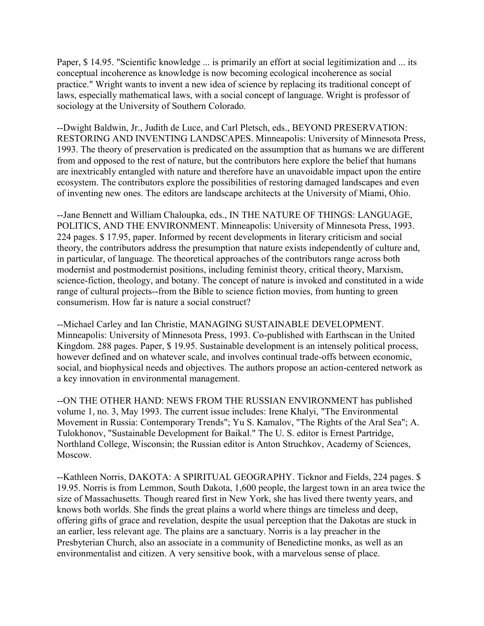Paper, \$14.95. "Scientific knowledge ... is primarily an effort at social legitimization and ... its conceptual incoherence as knowledge is now becoming ecological incoherence as social practice." Wright wants to invent a new idea of science by replacing its traditional concept of laws, especially mathematical laws, with a social concept of language. Wright is professor of sociology at the University of Southern Colorado.

--Dwight Baldwin, Jr., Judith de Luce, and Carl Pletsch, eds., BEYOND PRESERVATION: RESTORING AND INVENTING LANDSCAPES. Minneapolis: University of Minnesota Press, 1993. The theory of preservation is predicated on the assumption that as humans we are different from and opposed to the rest of nature, but the contributors here explore the belief that humans are inextricably entangled with nature and therefore have an unavoidable impact upon the entire ecosystem. The contributors explore the possibilities of restoring damaged landscapes and even of inventing new ones. The editors are landscape architects at the University of Miami, Ohio.

--Jane Bennett and William Chaloupka, eds., IN THE NATURE OF THINGS: LANGUAGE, POLITICS, AND THE ENVIRONMENT. Minneapolis: University of Minnesota Press, 1993. 224 pages. \$ 17.95, paper. Informed by recent developments in literary criticism and social theory, the contributors address the presumption that nature exists independently of culture and, in particular, of language. The theoretical approaches of the contributors range across both modernist and postmodernist positions, including feminist theory, critical theory, Marxism, science-fiction, theology, and botany. The concept of nature is invoked and constituted in a wide range of cultural projects--from the Bible to science fiction movies, from hunting to green consumerism. How far is nature a social construct?

--Michael Carley and Ian Christie, MANAGING SUSTAINABLE DEVELOPMENT. Minneapolis: University of Minnesota Press, 1993. Co-published with Earthscan in the United Kingdom. 288 pages. Paper, \$ 19.95. Sustainable development is an intensely political process, however defined and on whatever scale, and involves continual trade-offs between economic, social, and biophysical needs and objectives. The authors propose an action-centered network as a key innovation in environmental management.

--ON THE OTHER HAND: NEWS FROM THE RUSSIAN ENVIRONMENT has published volume 1, no. 3, May 1993. The current issue includes: Irene Khalyi, "The Environmental Movement in Russia: Contemporary Trends"; Yu S. Kamalov, "The Rights of the Aral Sea"; A. Tulokhonov, "Sustainable Development for Baikal." The U. S. editor is Ernest Partridge, Northland College, Wisconsin; the Russian editor is Anton Struchkov, Academy of Sciences, Moscow.

--Kathleen Norris, DAKOTA: A SPIRITUAL GEOGRAPHY. Ticknor and Fields, 224 pages. \$ 19.95. Norris is from Lemmon, South Dakota, 1,600 people, the largest town in an area twice the size of Massachusetts. Though reared first in New York, she has lived there twenty years, and knows both worlds. She finds the great plains a world where things are timeless and deep, offering gifts of grace and revelation, despite the usual perception that the Dakotas are stuck in an earlier, less relevant age. The plains are a sanctuary. Norris is a lay preacher in the Presbyterian Church, also an associate in a community of Benedictine monks, as well as an environmentalist and citizen. A very sensitive book, with a marvelous sense of place.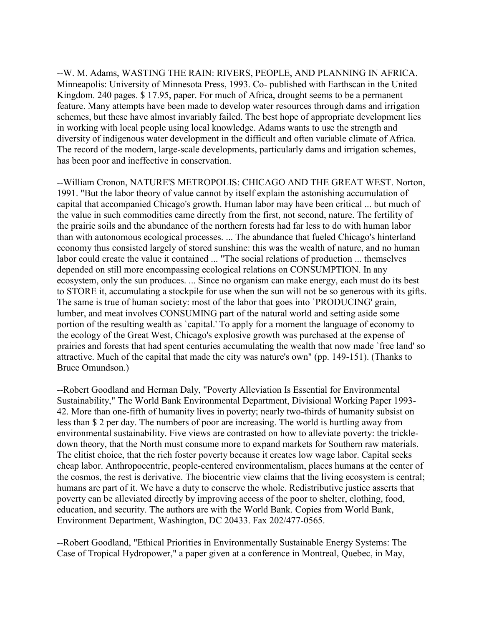--W. M. Adams, WASTING THE RAIN: RIVERS, PEOPLE, AND PLANNING IN AFRICA. Minneapolis: University of Minnesota Press, 1993. Co- published with Earthscan in the United Kingdom. 240 pages. \$ 17.95, paper. For much of Africa, drought seems to be a permanent feature. Many attempts have been made to develop water resources through dams and irrigation schemes, but these have almost invariably failed. The best hope of appropriate development lies in working with local people using local knowledge. Adams wants to use the strength and diversity of indigenous water development in the difficult and often variable climate of Africa. The record of the modern, large-scale developments, particularly dams and irrigation schemes, has been poor and ineffective in conservation.

--William Cronon, NATURE'S METROPOLIS: CHICAGO AND THE GREAT WEST. Norton, 1991. "But the labor theory of value cannot by itself explain the astonishing accumulation of capital that accompanied Chicago's growth. Human labor may have been critical ... but much of the value in such commodities came directly from the first, not second, nature. The fertility of the prairie soils and the abundance of the northern forests had far less to do with human labor than with autonomous ecological processes. ... The abundance that fueled Chicago's hinterland economy thus consisted largely of stored sunshine: this was the wealth of nature, and no human labor could create the value it contained ... "The social relations of production ... themselves depended on still more encompassing ecological relations on CONSUMPTION. In any ecosystem, only the sun produces. ... Since no organism can make energy, each must do its best to STORE it, accumulating a stockpile for use when the sun will not be so generous with its gifts. The same is true of human society: most of the labor that goes into `PRODUCING' grain, lumber, and meat involves CONSUMING part of the natural world and setting aside some portion of the resulting wealth as `capital.' To apply for a moment the language of economy to the ecology of the Great West, Chicago's explosive growth was purchased at the expense of prairies and forests that had spent centuries accumulating the wealth that now made `free land' so attractive. Much of the capital that made the city was nature's own" (pp. 149-151). (Thanks to Bruce Omundson.)

--Robert Goodland and Herman Daly, "Poverty Alleviation Is Essential for Environmental Sustainability," The World Bank Environmental Department, Divisional Working Paper 1993- 42. More than one-fifth of humanity lives in poverty; nearly two-thirds of humanity subsist on less than \$ 2 per day. The numbers of poor are increasing. The world is hurtling away from environmental sustainability. Five views are contrasted on how to alleviate poverty: the trickledown theory, that the North must consume more to expand markets for Southern raw materials. The elitist choice, that the rich foster poverty because it creates low wage labor. Capital seeks cheap labor. Anthropocentric, people-centered environmentalism, places humans at the center of the cosmos, the rest is derivative. The biocentric view claims that the living ecosystem is central; humans are part of it. We have a duty to conserve the whole. Redistributive justice asserts that poverty can be alleviated directly by improving access of the poor to shelter, clothing, food, education, and security. The authors are with the World Bank. Copies from World Bank, Environment Department, Washington, DC 20433. Fax 202/477-0565.

--Robert Goodland, "Ethical Priorities in Environmentally Sustainable Energy Systems: The Case of Tropical Hydropower," a paper given at a conference in Montreal, Quebec, in May,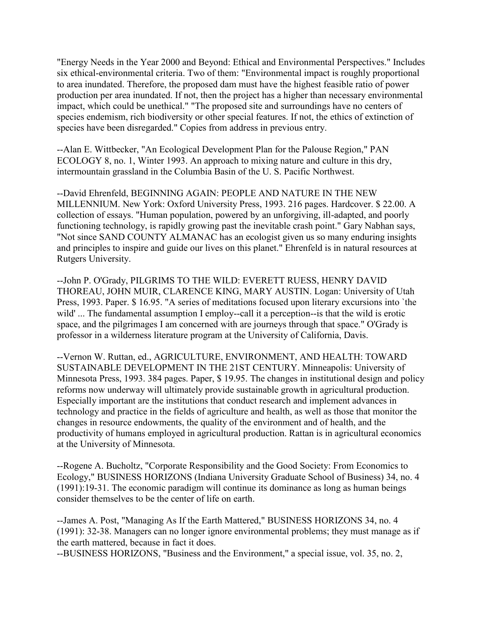"Energy Needs in the Year 2000 and Beyond: Ethical and Environmental Perspectives." Includes six ethical-environmental criteria. Two of them: "Environmental impact is roughly proportional to area inundated. Therefore, the proposed dam must have the highest feasible ratio of power production per area inundated. If not, then the project has a higher than necessary environmental impact, which could be unethical." "The proposed site and surroundings have no centers of species endemism, rich biodiversity or other special features. If not, the ethics of extinction of species have been disregarded." Copies from address in previous entry.

--Alan E. Wittbecker, "An Ecological Development Plan for the Palouse Region," PAN ECOLOGY 8, no. 1, Winter 1993. An approach to mixing nature and culture in this dry, intermountain grassland in the Columbia Basin of the U. S. Pacific Northwest.

--David Ehrenfeld, BEGINNING AGAIN: PEOPLE AND NATURE IN THE NEW MILLENNIUM. New York: Oxford University Press, 1993. 216 pages. Hardcover. \$ 22.00. A collection of essays. "Human population, powered by an unforgiving, ill-adapted, and poorly functioning technology, is rapidly growing past the inevitable crash point." Gary Nabhan says, "Not since SAND COUNTY ALMANAC has an ecologist given us so many enduring insights and principles to inspire and guide our lives on this planet." Ehrenfeld is in natural resources at Rutgers University.

--John P. O'Grady, PILGRIMS TO THE WILD: EVERETT RUESS, HENRY DAVID THOREAU, JOHN MUIR, CLARENCE KING, MARY AUSTIN. Logan: University of Utah Press, 1993. Paper. \$ 16.95. "A series of meditations focused upon literary excursions into `the wild' ... The fundamental assumption I employ--call it a perception--is that the wild is erotic space, and the pilgrimages I am concerned with are journeys through that space." O'Grady is professor in a wilderness literature program at the University of California, Davis.

--Vernon W. Ruttan, ed., AGRICULTURE, ENVIRONMENT, AND HEALTH: TOWARD SUSTAINABLE DEVELOPMENT IN THE 21ST CENTURY. Minneapolis: University of Minnesota Press, 1993. 384 pages. Paper, \$ 19.95. The changes in institutional design and policy reforms now underway will ultimately provide sustainable growth in agricultural production. Especially important are the institutions that conduct research and implement advances in technology and practice in the fields of agriculture and health, as well as those that monitor the changes in resource endowments, the quality of the environment and of health, and the productivity of humans employed in agricultural production. Rattan is in agricultural economics at the University of Minnesota.

--Rogene A. Bucholtz, "Corporate Responsibility and the Good Society: From Economics to Ecology," BUSINESS HORIZONS (Indiana University Graduate School of Business) 34, no. 4 (1991):19-31. The economic paradigm will continue its dominance as long as human beings consider themselves to be the center of life on earth.

--James A. Post, "Managing As If the Earth Mattered," BUSINESS HORIZONS 34, no. 4 (1991): 32-38. Managers can no longer ignore environmental problems; they must manage as if the earth mattered, because in fact it does.

--BUSINESS HORIZONS, "Business and the Environment," a special issue, vol. 35, no. 2,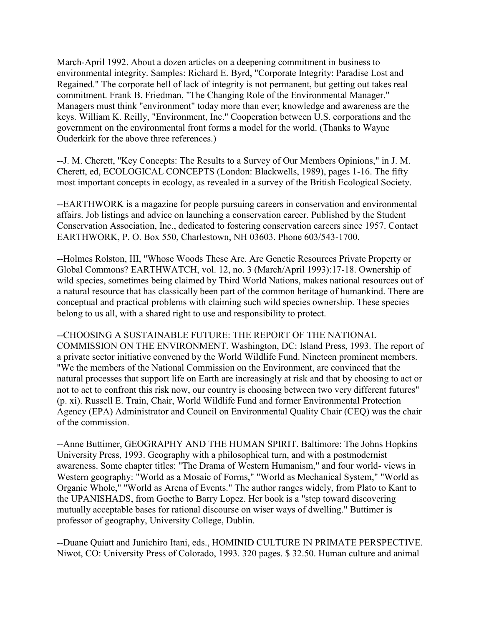March-April 1992. About a dozen articles on a deepening commitment in business to environmental integrity. Samples: Richard E. Byrd, "Corporate Integrity: Paradise Lost and Regained." The corporate hell of lack of integrity is not permanent, but getting out takes real commitment. Frank B. Friedman, "The Changing Role of the Environmental Manager." Managers must think "environment" today more than ever; knowledge and awareness are the keys. William K. Reilly, "Environment, Inc." Cooperation between U.S. corporations and the government on the environmental front forms a model for the world. (Thanks to Wayne Ouderkirk for the above three references.)

--J. M. Cherett, "Key Concepts: The Results to a Survey of Our Members Opinions," in J. M. Cherett, ed, ECOLOGICAL CONCEPTS (London: Blackwells, 1989), pages 1-16. The fifty most important concepts in ecology, as revealed in a survey of the British Ecological Society.

--EARTHWORK is a magazine for people pursuing careers in conservation and environmental affairs. Job listings and advice on launching a conservation career. Published by the Student Conservation Association, Inc., dedicated to fostering conservation careers since 1957. Contact EARTHWORK, P. O. Box 550, Charlestown, NH 03603. Phone 603/543-1700.

--Holmes Rolston, III, "Whose Woods These Are. Are Genetic Resources Private Property or Global Commons? EARTHWATCH, vol. 12, no. 3 (March/April 1993):17-18. Ownership of wild species, sometimes being claimed by Third World Nations, makes national resources out of a natural resource that has classically been part of the common heritage of humankind. There are conceptual and practical problems with claiming such wild species ownership. These species belong to us all, with a shared right to use and responsibility to protect.

--CHOOSING A SUSTAINABLE FUTURE: THE REPORT OF THE NATIONAL COMMISSION ON THE ENVIRONMENT. Washington, DC: Island Press, 1993. The report of a private sector initiative convened by the World Wildlife Fund. Nineteen prominent members. "We the members of the National Commission on the Environment, are convinced that the natural processes that support life on Earth are increasingly at risk and that by choosing to act or not to act to confront this risk now, our country is choosing between two very different futures" (p. xi). Russell E. Train, Chair, World Wildlife Fund and former Environmental Protection Agency (EPA) Administrator and Council on Environmental Quality Chair (CEQ) was the chair of the commission.

--Anne Buttimer, GEOGRAPHY AND THE HUMAN SPIRIT. Baltimore: The Johns Hopkins University Press, 1993. Geography with a philosophical turn, and with a postmodernist awareness. Some chapter titles: "The Drama of Western Humanism," and four world- views in Western geography: "World as a Mosaic of Forms," "World as Mechanical System," "World as Organic Whole," "World as Arena of Events." The author ranges widely, from Plato to Kant to the UPANISHADS, from Goethe to Barry Lopez. Her book is a "step toward discovering mutually acceptable bases for rational discourse on wiser ways of dwelling." Buttimer is professor of geography, University College, Dublin.

--Duane Quiatt and Junichiro Itani, eds., HOMINID CULTURE IN PRIMATE PERSPECTIVE. Niwot, CO: University Press of Colorado, 1993. 320 pages. \$ 32.50. Human culture and animal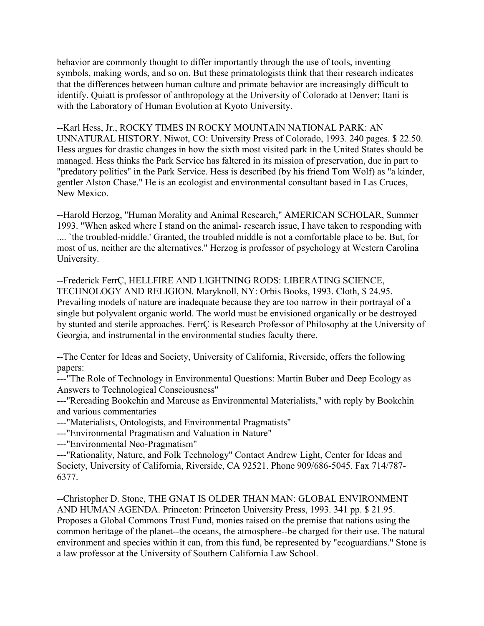behavior are commonly thought to differ importantly through the use of tools, inventing symbols, making words, and so on. But these primatologists think that their research indicates that the differences between human culture and primate behavior are increasingly difficult to identify. Quiatt is professor of anthropology at the University of Colorado at Denver; Itani is with the Laboratory of Human Evolution at Kyoto University.

--Karl Hess, Jr., ROCKY TIMES IN ROCKY MOUNTAIN NATIONAL PARK: AN UNNATURAL HISTORY. Niwot, CO: University Press of Colorado, 1993. 240 pages. \$ 22.50. Hess argues for drastic changes in how the sixth most visited park in the United States should be managed. Hess thinks the Park Service has faltered in its mission of preservation, due in part to "predatory politics" in the Park Service. Hess is described (by his friend Tom Wolf) as "a kinder, gentler Alston Chase." He is an ecologist and environmental consultant based in Las Cruces, New Mexico.

--Harold Herzog, "Human Morality and Animal Research," AMERICAN SCHOLAR, Summer 1993. "When asked where I stand on the animal- research issue, I have taken to responding with .... `the troubled-middle.' Granted, the troubled middle is not a comfortable place to be. But, for most of us, neither are the alternatives." Herzog is professor of psychology at Western Carolina University.

--Frederick FerrÇ, HELLFIRE AND LIGHTNING RODS: LIBERATING SCIENCE, TECHNOLOGY AND RELIGION. Maryknoll, NY: Orbis Books, 1993. Cloth, \$ 24.95. Prevailing models of nature are inadequate because they are too narrow in their portrayal of a single but polyvalent organic world. The world must be envisioned organically or be destroyed by stunted and sterile approaches. FerrÇ is Research Professor of Philosophy at the University of Georgia, and instrumental in the environmental studies faculty there.

--The Center for Ideas and Society, University of California, Riverside, offers the following papers:

---"The Role of Technology in Environmental Questions: Martin Buber and Deep Ecology as Answers to Technological Consciousness"

---"Rereading Bookchin and Marcuse as Environmental Materialists," with reply by Bookchin and various commentaries

---"Materialists, Ontologists, and Environmental Pragmatists"

---"Environmental Pragmatism and Valuation in Nature"

---"Environmental Neo-Pragmatism"

---"Rationality, Nature, and Folk Technology" Contact Andrew Light, Center for Ideas and Society, University of California, Riverside, CA 92521. Phone 909/686-5045. Fax 714/787- 6377.

--Christopher D. Stone, THE GNAT IS OLDER THAN MAN: GLOBAL ENVIRONMENT AND HUMAN AGENDA. Princeton: Princeton University Press, 1993. 341 pp. \$ 21.95. Proposes a Global Commons Trust Fund, monies raised on the premise that nations using the common heritage of the planet--the oceans, the atmosphere--be charged for their use. The natural environment and species within it can, from this fund, be represented by "ecoguardians." Stone is a law professor at the University of Southern California Law School.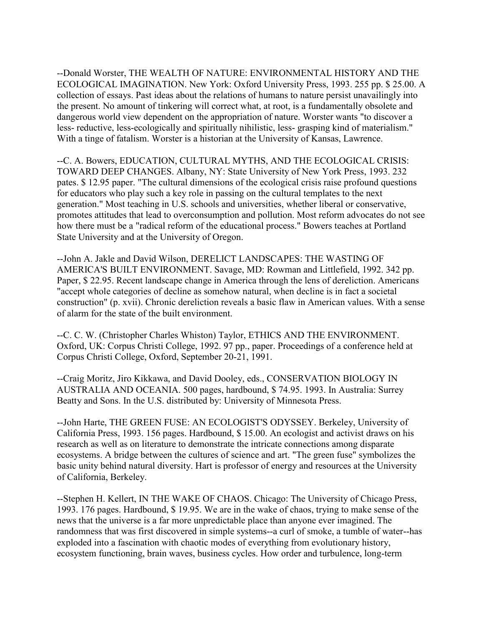--Donald Worster, THE WEALTH OF NATURE: ENVIRONMENTAL HISTORY AND THE ECOLOGICAL IMAGINATION. New York: Oxford University Press, 1993. 255 pp. \$ 25.00. A collection of essays. Past ideas about the relations of humans to nature persist unavailingly into the present. No amount of tinkering will correct what, at root, is a fundamentally obsolete and dangerous world view dependent on the appropriation of nature. Worster wants "to discover a less- reductive, less-ecologically and spiritually nihilistic, less- grasping kind of materialism." With a tinge of fatalism. Worster is a historian at the University of Kansas, Lawrence.

--C. A. Bowers, EDUCATION, CULTURAL MYTHS, AND THE ECOLOGICAL CRISIS: TOWARD DEEP CHANGES. Albany, NY: State University of New York Press, 1993. 232 pates. \$ 12.95 paper. "The cultural dimensions of the ecological crisis raise profound questions for educators who play such a key role in passing on the cultural templates to the next generation." Most teaching in U.S. schools and universities, whether liberal or conservative, promotes attitudes that lead to overconsumption and pollution. Most reform advocates do not see how there must be a "radical reform of the educational process." Bowers teaches at Portland State University and at the University of Oregon.

--John A. Jakle and David Wilson, DERELICT LANDSCAPES: THE WASTING OF AMERICA'S BUILT ENVIRONMENT. Savage, MD: Rowman and Littlefield, 1992. 342 pp. Paper, \$ 22.95. Recent landscape change in America through the lens of dereliction. Americans "accept whole categories of decline as somehow natural, when decline is in fact a societal construction" (p. xvii). Chronic dereliction reveals a basic flaw in American values. With a sense of alarm for the state of the built environment.

--C. C. W. (Christopher Charles Whiston) Taylor, ETHICS AND THE ENVIRONMENT. Oxford, UK: Corpus Christi College, 1992. 97 pp., paper. Proceedings of a conference held at Corpus Christi College, Oxford, September 20-21, 1991.

--Craig Moritz, Jiro Kikkawa, and David Dooley, eds., CONSERVATION BIOLOGY IN AUSTRALIA AND OCEANIA. 500 pages, hardbound, \$ 74.95. 1993. In Australia: Surrey Beatty and Sons. In the U.S. distributed by: University of Minnesota Press.

--John Harte, THE GREEN FUSE: AN ECOLOGIST'S ODYSSEY. Berkeley, University of California Press, 1993. 156 pages. Hardbound, \$ 15.00. An ecologist and activist draws on his research as well as on literature to demonstrate the intricate connections among disparate ecosystems. A bridge between the cultures of science and art. "The green fuse" symbolizes the basic unity behind natural diversity. Hart is professor of energy and resources at the University of California, Berkeley.

--Stephen H. Kellert, IN THE WAKE OF CHAOS. Chicago: The University of Chicago Press, 1993. 176 pages. Hardbound, \$ 19.95. We are in the wake of chaos, trying to make sense of the news that the universe is a far more unpredictable place than anyone ever imagined. The randomness that was first discovered in simple systems--a curl of smoke, a tumble of water--has exploded into a fascination with chaotic modes of everything from evolutionary history, ecosystem functioning, brain waves, business cycles. How order and turbulence, long-term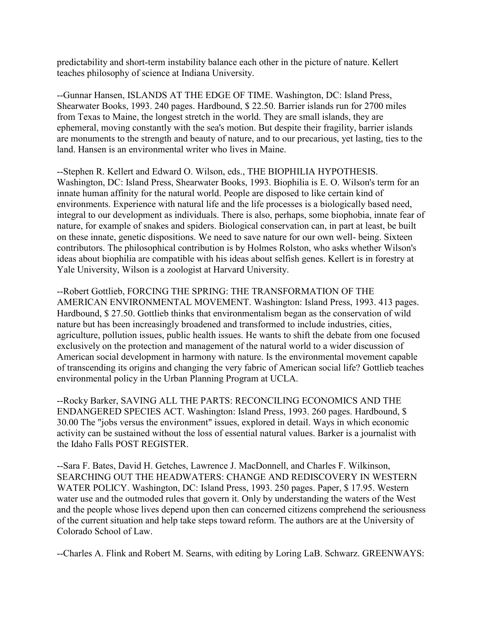predictability and short-term instability balance each other in the picture of nature. Kellert teaches philosophy of science at Indiana University.

--Gunnar Hansen, ISLANDS AT THE EDGE OF TIME. Washington, DC: Island Press, Shearwater Books, 1993. 240 pages. Hardbound, \$ 22.50. Barrier islands run for 2700 miles from Texas to Maine, the longest stretch in the world. They are small islands, they are ephemeral, moving constantly with the sea's motion. But despite their fragility, barrier islands are monuments to the strength and beauty of nature, and to our precarious, yet lasting, ties to the land. Hansen is an environmental writer who lives in Maine.

--Stephen R. Kellert and Edward O. Wilson, eds., THE BIOPHILIA HYPOTHESIS. Washington, DC: Island Press, Shearwater Books, 1993. Biophilia is E. O. Wilson's term for an innate human affinity for the natural world. People are disposed to like certain kind of environments. Experience with natural life and the life processes is a biologically based need, integral to our development as individuals. There is also, perhaps, some biophobia, innate fear of nature, for example of snakes and spiders. Biological conservation can, in part at least, be built on these innate, genetic dispositions. We need to save nature for our own well- being. Sixteen contributors. The philosophical contribution is by Holmes Rolston, who asks whether Wilson's ideas about biophilia are compatible with his ideas about selfish genes. Kellert is in forestry at Yale University, Wilson is a zoologist at Harvard University.

--Robert Gottlieb, FORCING THE SPRING: THE TRANSFORMATION OF THE AMERICAN ENVIRONMENTAL MOVEMENT. Washington: Island Press, 1993. 413 pages. Hardbound, \$ 27.50. Gottlieb thinks that environmentalism began as the conservation of wild nature but has been increasingly broadened and transformed to include industries, cities, agriculture, pollution issues, public health issues. He wants to shift the debate from one focused exclusively on the protection and management of the natural world to a wider discussion of American social development in harmony with nature. Is the environmental movement capable of transcending its origins and changing the very fabric of American social life? Gottlieb teaches environmental policy in the Urban Planning Program at UCLA.

--Rocky Barker, SAVING ALL THE PARTS: RECONCILING ECONOMICS AND THE ENDANGERED SPECIES ACT. Washington: Island Press, 1993. 260 pages. Hardbound, \$ 30.00 The "jobs versus the environment" issues, explored in detail. Ways in which economic activity can be sustained without the loss of essential natural values. Barker is a journalist with the Idaho Falls POST REGISTER.

--Sara F. Bates, David H. Getches, Lawrence J. MacDonnell, and Charles F. Wilkinson, SEARCHING OUT THE HEADWATERS: CHANGE AND REDISCOVERY IN WESTERN WATER POLICY. Washington, DC: Island Press, 1993. 250 pages. Paper, \$ 17.95. Western water use and the outmoded rules that govern it. Only by understanding the waters of the West and the people whose lives depend upon then can concerned citizens comprehend the seriousness of the current situation and help take steps toward reform. The authors are at the University of Colorado School of Law.

--Charles A. Flink and Robert M. Searns, with editing by Loring LaB. Schwarz. GREENWAYS: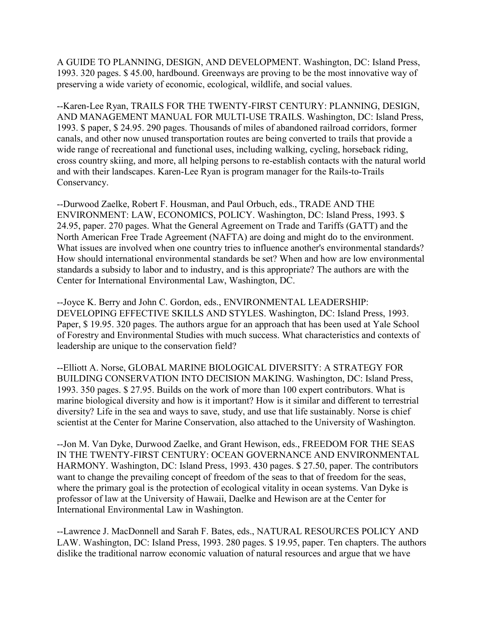A GUIDE TO PLANNING, DESIGN, AND DEVELOPMENT. Washington, DC: Island Press, 1993. 320 pages. \$ 45.00, hardbound. Greenways are proving to be the most innovative way of preserving a wide variety of economic, ecological, wildlife, and social values.

--Karen-Lee Ryan, TRAILS FOR THE TWENTY-FIRST CENTURY: PLANNING, DESIGN, AND MANAGEMENT MANUAL FOR MULTI-USE TRAILS. Washington, DC: Island Press, 1993. \$ paper, \$ 24.95. 290 pages. Thousands of miles of abandoned railroad corridors, former canals, and other now unused transportation routes are being converted to trails that provide a wide range of recreational and functional uses, including walking, cycling, horseback riding, cross country skiing, and more, all helping persons to re-establish contacts with the natural world and with their landscapes. Karen-Lee Ryan is program manager for the Rails-to-Trails Conservancy.

--Durwood Zaelke, Robert F. Housman, and Paul Orbuch, eds., TRADE AND THE ENVIRONMENT: LAW, ECONOMICS, POLICY. Washington, DC: Island Press, 1993. \$ 24.95, paper. 270 pages. What the General Agreement on Trade and Tariffs (GATT) and the North American Free Trade Agreement (NAFTA) are doing and might do to the environment. What issues are involved when one country tries to influence another's environmental standards? How should international environmental standards be set? When and how are low environmental standards a subsidy to labor and to industry, and is this appropriate? The authors are with the Center for International Environmental Law, Washington, DC.

--Joyce K. Berry and John C. Gordon, eds., ENVIRONMENTAL LEADERSHIP: DEVELOPING EFFECTIVE SKILLS AND STYLES. Washington, DC: Island Press, 1993. Paper, \$ 19.95. 320 pages. The authors argue for an approach that has been used at Yale School of Forestry and Environmental Studies with much success. What characteristics and contexts of leadership are unique to the conservation field?

--Elliott A. Norse, GLOBAL MARINE BIOLOGICAL DIVERSITY: A STRATEGY FOR BUILDING CONSERVATION INTO DECISION MAKING. Washington, DC: Island Press, 1993. 350 pages. \$ 27.95. Builds on the work of more than 100 expert contributors. What is marine biological diversity and how is it important? How is it similar and different to terrestrial diversity? Life in the sea and ways to save, study, and use that life sustainably. Norse is chief scientist at the Center for Marine Conservation, also attached to the University of Washington.

--Jon M. Van Dyke, Durwood Zaelke, and Grant Hewison, eds., FREEDOM FOR THE SEAS IN THE TWENTY-FIRST CENTURY: OCEAN GOVERNANCE AND ENVIRONMENTAL HARMONY. Washington, DC: Island Press, 1993. 430 pages. \$ 27.50, paper. The contributors want to change the prevailing concept of freedom of the seas to that of freedom for the seas, where the primary goal is the protection of ecological vitality in ocean systems. Van Dyke is professor of law at the University of Hawaii, Daelke and Hewison are at the Center for International Environmental Law in Washington.

--Lawrence J. MacDonnell and Sarah F. Bates, eds., NATURAL RESOURCES POLICY AND LAW. Washington, DC: Island Press, 1993. 280 pages. \$ 19.95, paper. Ten chapters. The authors dislike the traditional narrow economic valuation of natural resources and argue that we have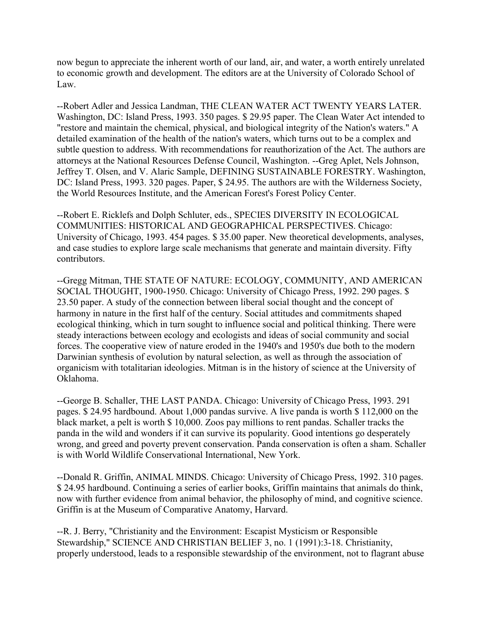now begun to appreciate the inherent worth of our land, air, and water, a worth entirely unrelated to economic growth and development. The editors are at the University of Colorado School of Law.

--Robert Adler and Jessica Landman, THE CLEAN WATER ACT TWENTY YEARS LATER. Washington, DC: Island Press, 1993. 350 pages. \$ 29.95 paper. The Clean Water Act intended to "restore and maintain the chemical, physical, and biological integrity of the Nation's waters." A detailed examination of the health of the nation's waters, which turns out to be a complex and subtle question to address. With recommendations for reauthorization of the Act. The authors are attorneys at the National Resources Defense Council, Washington. --Greg Aplet, Nels Johnson, Jeffrey T. Olsen, and V. Alaric Sample, DEFINING SUSTAINABLE FORESTRY. Washington, DC: Island Press, 1993. 320 pages. Paper, \$ 24.95. The authors are with the Wilderness Society, the World Resources Institute, and the American Forest's Forest Policy Center.

--Robert E. Ricklefs and Dolph Schluter, eds., SPECIES DIVERSITY IN ECOLOGICAL COMMUNITIES: HISTORICAL AND GEOGRAPHICAL PERSPECTIVES. Chicago: University of Chicago, 1993. 454 pages. \$ 35.00 paper. New theoretical developments, analyses, and case studies to explore large scale mechanisms that generate and maintain diversity. Fifty contributors.

--Gregg Mitman, THE STATE OF NATURE: ECOLOGY, COMMUNITY, AND AMERICAN SOCIAL THOUGHT, 1900-1950. Chicago: University of Chicago Press, 1992. 290 pages. \$ 23.50 paper. A study of the connection between liberal social thought and the concept of harmony in nature in the first half of the century. Social attitudes and commitments shaped ecological thinking, which in turn sought to influence social and political thinking. There were steady interactions between ecology and ecologists and ideas of social community and social forces. The cooperative view of nature eroded in the 1940's and 1950's due both to the modern Darwinian synthesis of evolution by natural selection, as well as through the association of organicism with totalitarian ideologies. Mitman is in the history of science at the University of Oklahoma.

--George B. Schaller, THE LAST PANDA. Chicago: University of Chicago Press, 1993. 291 pages. \$ 24.95 hardbound. About 1,000 pandas survive. A live panda is worth \$ 112,000 on the black market, a pelt is worth \$ 10,000. Zoos pay millions to rent pandas. Schaller tracks the panda in the wild and wonders if it can survive its popularity. Good intentions go desperately wrong, and greed and poverty prevent conservation. Panda conservation is often a sham. Schaller is with World Wildlife Conservational International, New York.

--Donald R. Griffin, ANIMAL MINDS. Chicago: University of Chicago Press, 1992. 310 pages. \$ 24.95 hardbound. Continuing a series of earlier books, Griffin maintains that animals do think, now with further evidence from animal behavior, the philosophy of mind, and cognitive science. Griffin is at the Museum of Comparative Anatomy, Harvard.

--R. J. Berry, "Christianity and the Environment: Escapist Mysticism or Responsible Stewardship," SCIENCE AND CHRISTIAN BELIEF 3, no. 1 (1991):3-18. Christianity, properly understood, leads to a responsible stewardship of the environment, not to flagrant abuse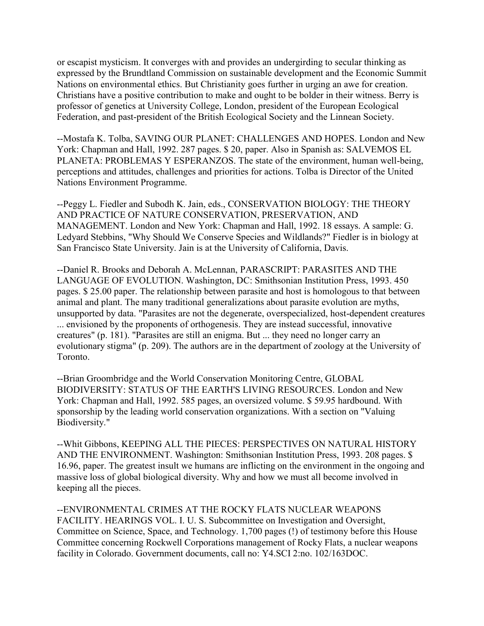or escapist mysticism. It converges with and provides an undergirding to secular thinking as expressed by the Brundtland Commission on sustainable development and the Economic Summit Nations on environmental ethics. But Christianity goes further in urging an awe for creation. Christians have a positive contribution to make and ought to be bolder in their witness. Berry is professor of genetics at University College, London, president of the European Ecological Federation, and past-president of the British Ecological Society and the Linnean Society.

--Mostafa K. Tolba, SAVING OUR PLANET: CHALLENGES AND HOPES. London and New York: Chapman and Hall, 1992. 287 pages. \$ 20, paper. Also in Spanish as: SALVEMOS EL PLANETA: PROBLEMAS Y ESPERANZOS. The state of the environment, human well-being, perceptions and attitudes, challenges and priorities for actions. Tolba is Director of the United Nations Environment Programme.

--Peggy L. Fiedler and Subodh K. Jain, eds., CONSERVATION BIOLOGY: THE THEORY AND PRACTICE OF NATURE CONSERVATION, PRESERVATION, AND MANAGEMENT. London and New York: Chapman and Hall, 1992. 18 essays. A sample: G. Ledyard Stebbins, "Why Should We Conserve Species and Wildlands?" Fiedler is in biology at San Francisco State University. Jain is at the University of California, Davis.

--Daniel R. Brooks and Deborah A. McLennan, PARASCRIPT: PARASITES AND THE LANGUAGE OF EVOLUTION. Washington, DC: Smithsonian Institution Press, 1993. 450 pages. \$ 25.00 paper. The relationship between parasite and host is homologous to that between animal and plant. The many traditional generalizations about parasite evolution are myths, unsupported by data. "Parasites are not the degenerate, overspecialized, host-dependent creatures ... envisioned by the proponents of orthogenesis. They are instead successful, innovative creatures" (p. 181). "Parasites are still an enigma. But ... they need no longer carry an evolutionary stigma" (p. 209). The authors are in the department of zoology at the University of Toronto.

--Brian Groombridge and the World Conservation Monitoring Centre, GLOBAL BIODIVERSITY: STATUS OF THE EARTH'S LIVING RESOURCES. London and New York: Chapman and Hall, 1992. 585 pages, an oversized volume. \$ 59.95 hardbound. With sponsorship by the leading world conservation organizations. With a section on "Valuing Biodiversity."

--Whit Gibbons, KEEPING ALL THE PIECES: PERSPECTIVES ON NATURAL HISTORY AND THE ENVIRONMENT. Washington: Smithsonian Institution Press, 1993. 208 pages. \$ 16.96, paper. The greatest insult we humans are inflicting on the environment in the ongoing and massive loss of global biological diversity. Why and how we must all become involved in keeping all the pieces.

--ENVIRONMENTAL CRIMES AT THE ROCKY FLATS NUCLEAR WEAPONS FACILITY. HEARINGS VOL. I. U. S. Subcommittee on Investigation and Oversight, Committee on Science, Space, and Technology. 1,700 pages (!) of testimony before this House Committee concerning Rockwell Corporations management of Rocky Flats, a nuclear weapons facility in Colorado. Government documents, call no: Y4.SCI 2:no. 102/163DOC.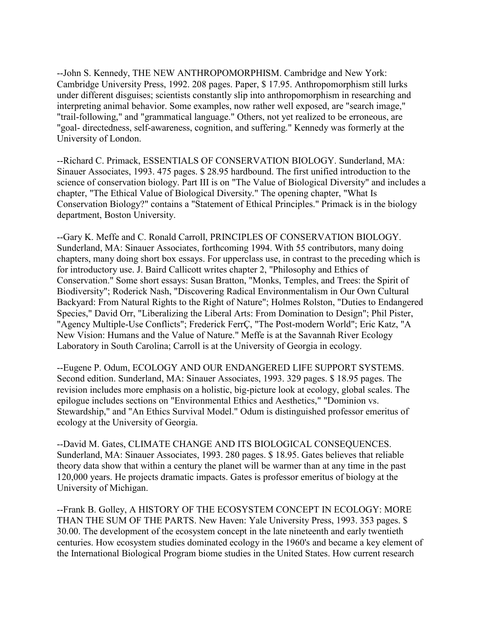--John S. Kennedy, THE NEW ANTHROPOMORPHISM. Cambridge and New York: Cambridge University Press, 1992. 208 pages. Paper, \$ 17.95. Anthropomorphism still lurks under different disguises; scientists constantly slip into anthropomorphism in researching and interpreting animal behavior. Some examples, now rather well exposed, are "search image," "trail-following," and "grammatical language." Others, not yet realized to be erroneous, are "goal- directedness, self-awareness, cognition, and suffering." Kennedy was formerly at the University of London.

--Richard C. Primack, ESSENTIALS OF CONSERVATION BIOLOGY. Sunderland, MA: Sinauer Associates, 1993. 475 pages. \$ 28.95 hardbound. The first unified introduction to the science of conservation biology. Part III is on "The Value of Biological Diversity" and includes a chapter, "The Ethical Value of Biological Diversity." The opening chapter, "What Is Conservation Biology?" contains a "Statement of Ethical Principles." Primack is in the biology department, Boston University.

--Gary K. Meffe and C. Ronald Carroll, PRINCIPLES OF CONSERVATION BIOLOGY. Sunderland, MA: Sinauer Associates, forthcoming 1994. With 55 contributors, many doing chapters, many doing short box essays. For upperclass use, in contrast to the preceding which is for introductory use. J. Baird Callicott writes chapter 2, "Philosophy and Ethics of Conservation." Some short essays: Susan Bratton, "Monks, Temples, and Trees: the Spirit of Biodiversity"; Roderick Nash, "Discovering Radical Environmentalism in Our Own Cultural Backyard: From Natural Rights to the Right of Nature"; Holmes Rolston, "Duties to Endangered Species," David Orr, "Liberalizing the Liberal Arts: From Domination to Design"; Phil Pister, "Agency Multiple-Use Conflicts"; Frederick FerrÇ, "The Post-modern World"; Eric Katz, "A New Vision: Humans and the Value of Nature." Meffe is at the Savannah River Ecology Laboratory in South Carolina; Carroll is at the University of Georgia in ecology.

--Eugene P. Odum, ECOLOGY AND OUR ENDANGERED LIFE SUPPORT SYSTEMS. Second edition. Sunderland, MA: Sinauer Associates, 1993. 329 pages. \$ 18.95 pages. The revision includes more emphasis on a holistic, big-picture look at ecology, global scales. The epilogue includes sections on "Environmental Ethics and Aesthetics," "Dominion vs. Stewardship," and "An Ethics Survival Model." Odum is distinguished professor emeritus of ecology at the University of Georgia.

--David M. Gates, CLIMATE CHANGE AND ITS BIOLOGICAL CONSEQUENCES. Sunderland, MA: Sinauer Associates, 1993. 280 pages. \$ 18.95. Gates believes that reliable theory data show that within a century the planet will be warmer than at any time in the past 120,000 years. He projects dramatic impacts. Gates is professor emeritus of biology at the University of Michigan.

--Frank B. Golley, A HISTORY OF THE ECOSYSTEM CONCEPT IN ECOLOGY: MORE THAN THE SUM OF THE PARTS. New Haven: Yale University Press, 1993. 353 pages. \$ 30.00. The development of the ecosystem concept in the late nineteenth and early twentieth centuries. How ecosystem studies dominated ecology in the 1960's and became a key element of the International Biological Program biome studies in the United States. How current research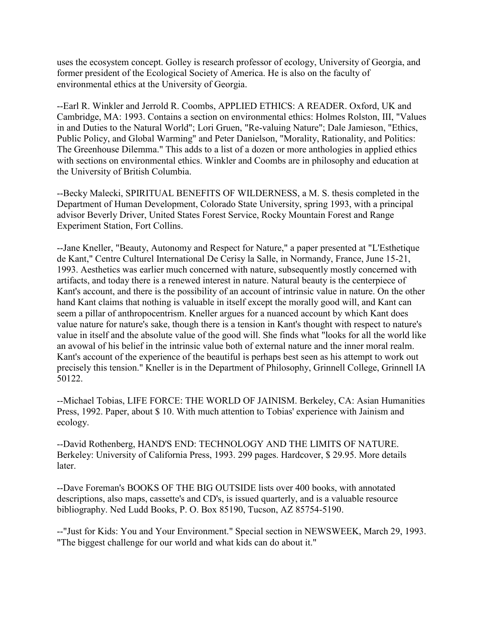uses the ecosystem concept. Golley is research professor of ecology, University of Georgia, and former president of the Ecological Society of America. He is also on the faculty of environmental ethics at the University of Georgia.

--Earl R. Winkler and Jerrold R. Coombs, APPLIED ETHICS: A READER. Oxford, UK and Cambridge, MA: 1993. Contains a section on environmental ethics: Holmes Rolston, III, "Values in and Duties to the Natural World"; Lori Gruen, "Re-valuing Nature"; Dale Jamieson, "Ethics, Public Policy, and Global Warming" and Peter Danielson, "Morality, Rationality, and Politics: The Greenhouse Dilemma." This adds to a list of a dozen or more anthologies in applied ethics with sections on environmental ethics. Winkler and Coombs are in philosophy and education at the University of British Columbia.

--Becky Malecki, SPIRITUAL BENEFITS OF WILDERNESS, a M. S. thesis completed in the Department of Human Development, Colorado State University, spring 1993, with a principal advisor Beverly Driver, United States Forest Service, Rocky Mountain Forest and Range Experiment Station, Fort Collins.

--Jane Kneller, "Beauty, Autonomy and Respect for Nature," a paper presented at "L'Esthetique de Kant," Centre Culturel International De Cerisy la Salle, in Normandy, France, June 15-21, 1993. Aesthetics was earlier much concerned with nature, subsequently mostly concerned with artifacts, and today there is a renewed interest in nature. Natural beauty is the centerpiece of Kant's account, and there is the possibility of an account of intrinsic value in nature. On the other hand Kant claims that nothing is valuable in itself except the morally good will, and Kant can seem a pillar of anthropocentrism. Kneller argues for a nuanced account by which Kant does value nature for nature's sake, though there is a tension in Kant's thought with respect to nature's value in itself and the absolute value of the good will. She finds what "looks for all the world like an avowal of his belief in the intrinsic value both of external nature and the inner moral realm. Kant's account of the experience of the beautiful is perhaps best seen as his attempt to work out precisely this tension." Kneller is in the Department of Philosophy, Grinnell College, Grinnell IA 50122.

--Michael Tobias, LIFE FORCE: THE WORLD OF JAINISM. Berkeley, CA: Asian Humanities Press, 1992. Paper, about \$ 10. With much attention to Tobias' experience with Jainism and ecology.

--David Rothenberg, HAND'S END: TECHNOLOGY AND THE LIMITS OF NATURE. Berkeley: University of California Press, 1993. 299 pages. Hardcover, \$ 29.95. More details later.

--Dave Foreman's BOOKS OF THE BIG OUTSIDE lists over 400 books, with annotated descriptions, also maps, cassette's and CD's, is issued quarterly, and is a valuable resource bibliography. Ned Ludd Books, P. O. Box 85190, Tucson, AZ 85754-5190.

--"Just for Kids: You and Your Environment." Special section in NEWSWEEK, March 29, 1993. "The biggest challenge for our world and what kids can do about it."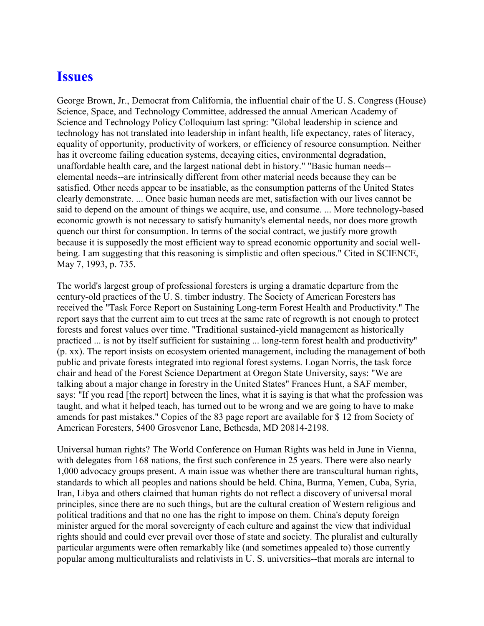#### **Issues**

George Brown, Jr., Democrat from California, the influential chair of the U. S. Congress (House) Science, Space, and Technology Committee, addressed the annual American Academy of Science and Technology Policy Colloquium last spring: "Global leadership in science and technology has not translated into leadership in infant health, life expectancy, rates of literacy, equality of opportunity, productivity of workers, or efficiency of resource consumption. Neither has it overcome failing education systems, decaying cities, environmental degradation, unaffordable health care, and the largest national debt in history." "Basic human needs- elemental needs--are intrinsically different from other material needs because they can be satisfied. Other needs appear to be insatiable, as the consumption patterns of the United States clearly demonstrate. ... Once basic human needs are met, satisfaction with our lives cannot be said to depend on the amount of things we acquire, use, and consume. ... More technology-based economic growth is not necessary to satisfy humanity's elemental needs, nor does more growth quench our thirst for consumption. In terms of the social contract, we justify more growth because it is supposedly the most efficient way to spread economic opportunity and social wellbeing. I am suggesting that this reasoning is simplistic and often specious." Cited in SCIENCE, May 7, 1993, p. 735.

The world's largest group of professional foresters is urging a dramatic departure from the century-old practices of the U. S. timber industry. The Society of American Foresters has received the "Task Force Report on Sustaining Long-term Forest Health and Productivity." The report says that the current aim to cut trees at the same rate of regrowth is not enough to protect forests and forest values over time. "Traditional sustained-yield management as historically practiced ... is not by itself sufficient for sustaining ... long-term forest health and productivity" (p. xx). The report insists on ecosystem oriented management, including the management of both public and private forests integrated into regional forest systems. Logan Norris, the task force chair and head of the Forest Science Department at Oregon State University, says: "We are talking about a major change in forestry in the United States" Frances Hunt, a SAF member, says: "If you read [the report] between the lines, what it is saying is that what the profession was taught, and what it helped teach, has turned out to be wrong and we are going to have to make amends for past mistakes." Copies of the 83 page report are available for \$ 12 from Society of American Foresters, 5400 Grosvenor Lane, Bethesda, MD 20814-2198.

Universal human rights? The World Conference on Human Rights was held in June in Vienna, with delegates from 168 nations, the first such conference in 25 years. There were also nearly 1,000 advocacy groups present. A main issue was whether there are transcultural human rights, standards to which all peoples and nations should be held. China, Burma, Yemen, Cuba, Syria, Iran, Libya and others claimed that human rights do not reflect a discovery of universal moral principles, since there are no such things, but are the cultural creation of Western religious and political traditions and that no one has the right to impose on them. China's deputy foreign minister argued for the moral sovereignty of each culture and against the view that individual rights should and could ever prevail over those of state and society. The pluralist and culturally particular arguments were often remarkably like (and sometimes appealed to) those currently popular among multiculturalists and relativists in U. S. universities--that morals are internal to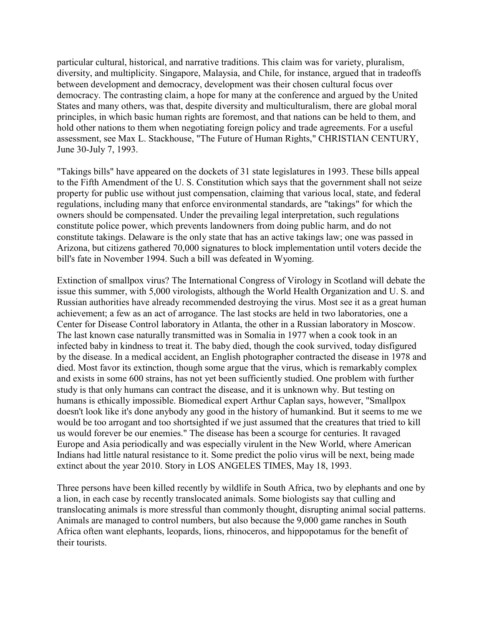particular cultural, historical, and narrative traditions. This claim was for variety, pluralism, diversity, and multiplicity. Singapore, Malaysia, and Chile, for instance, argued that in tradeoffs between development and democracy, development was their chosen cultural focus over democracy. The contrasting claim, a hope for many at the conference and argued by the United States and many others, was that, despite diversity and multiculturalism, there are global moral principles, in which basic human rights are foremost, and that nations can be held to them, and hold other nations to them when negotiating foreign policy and trade agreements. For a useful assessment, see Max L. Stackhouse, "The Future of Human Rights," CHRISTIAN CENTURY, June 30-July 7, 1993.

"Takings bills" have appeared on the dockets of 31 state legislatures in 1993. These bills appeal to the Fifth Amendment of the U. S. Constitution which says that the government shall not seize property for public use without just compensation, claiming that various local, state, and federal regulations, including many that enforce environmental standards, are "takings" for which the owners should be compensated. Under the prevailing legal interpretation, such regulations constitute police power, which prevents landowners from doing public harm, and do not constitute takings. Delaware is the only state that has an active takings law; one was passed in Arizona, but citizens gathered 70,000 signatures to block implementation until voters decide the bill's fate in November 1994. Such a bill was defeated in Wyoming.

Extinction of smallpox virus? The International Congress of Virology in Scotland will debate the issue this summer, with 5,000 virologists, although the World Health Organization and U. S. and Russian authorities have already recommended destroying the virus. Most see it as a great human achievement; a few as an act of arrogance. The last stocks are held in two laboratories, one a Center for Disease Control laboratory in Atlanta, the other in a Russian laboratory in Moscow. The last known case naturally transmitted was in Somalia in 1977 when a cook took in an infected baby in kindness to treat it. The baby died, though the cook survived, today disfigured by the disease. In a medical accident, an English photographer contracted the disease in 1978 and died. Most favor its extinction, though some argue that the virus, which is remarkably complex and exists in some 600 strains, has not yet been sufficiently studied. One problem with further study is that only humans can contract the disease, and it is unknown why. But testing on humans is ethically impossible. Biomedical expert Arthur Caplan says, however, "Smallpox doesn't look like it's done anybody any good in the history of humankind. But it seems to me we would be too arrogant and too shortsighted if we just assumed that the creatures that tried to kill us would forever be our enemies." The disease has been a scourge for centuries. It ravaged Europe and Asia periodically and was especially virulent in the New World, where American Indians had little natural resistance to it. Some predict the polio virus will be next, being made extinct about the year 2010. Story in LOS ANGELES TIMES, May 18, 1993.

Three persons have been killed recently by wildlife in South Africa, two by elephants and one by a lion, in each case by recently translocated animals. Some biologists say that culling and translocating animals is more stressful than commonly thought, disrupting animal social patterns. Animals are managed to control numbers, but also because the 9,000 game ranches in South Africa often want elephants, leopards, lions, rhinoceros, and hippopotamus for the benefit of their tourists.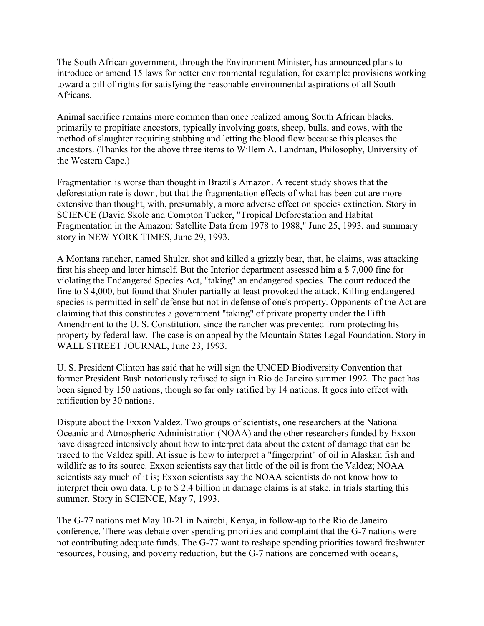The South African government, through the Environment Minister, has announced plans to introduce or amend 15 laws for better environmental regulation, for example: provisions working toward a bill of rights for satisfying the reasonable environmental aspirations of all South Africans.

Animal sacrifice remains more common than once realized among South African blacks, primarily to propitiate ancestors, typically involving goats, sheep, bulls, and cows, with the method of slaughter requiring stabbing and letting the blood flow because this pleases the ancestors. (Thanks for the above three items to Willem A. Landman, Philosophy, University of the Western Cape.)

Fragmentation is worse than thought in Brazil's Amazon. A recent study shows that the deforestation rate is down, but that the fragmentation effects of what has been cut are more extensive than thought, with, presumably, a more adverse effect on species extinction. Story in SCIENCE (David Skole and Compton Tucker, "Tropical Deforestation and Habitat Fragmentation in the Amazon: Satellite Data from 1978 to 1988," June 25, 1993, and summary story in NEW YORK TIMES, June 29, 1993.

A Montana rancher, named Shuler, shot and killed a grizzly bear, that, he claims, was attacking first his sheep and later himself. But the Interior department assessed him a \$ 7,000 fine for violating the Endangered Species Act, "taking" an endangered species. The court reduced the fine to \$ 4,000, but found that Shuler partially at least provoked the attack. Killing endangered species is permitted in self-defense but not in defense of one's property. Opponents of the Act are claiming that this constitutes a government "taking" of private property under the Fifth Amendment to the U. S. Constitution, since the rancher was prevented from protecting his property by federal law. The case is on appeal by the Mountain States Legal Foundation. Story in WALL STREET JOURNAL, June 23, 1993.

U. S. President Clinton has said that he will sign the UNCED Biodiversity Convention that former President Bush notoriously refused to sign in Rio de Janeiro summer 1992. The pact has been signed by 150 nations, though so far only ratified by 14 nations. It goes into effect with ratification by 30 nations.

Dispute about the Exxon Valdez. Two groups of scientists, one researchers at the National Oceanic and Atmospheric Administration (NOAA) and the other researchers funded by Exxon have disagreed intensively about how to interpret data about the extent of damage that can be traced to the Valdez spill. At issue is how to interpret a "fingerprint" of oil in Alaskan fish and wildlife as to its source. Exxon scientists say that little of the oil is from the Valdez; NOAA scientists say much of it is; Exxon scientists say the NOAA scientists do not know how to interpret their own data. Up to \$ 2.4 billion in damage claims is at stake, in trials starting this summer. Story in SCIENCE, May 7, 1993.

The G-77 nations met May 10-21 in Nairobi, Kenya, in follow-up to the Rio de Janeiro conference. There was debate over spending priorities and complaint that the G-7 nations were not contributing adequate funds. The G-77 want to reshape spending priorities toward freshwater resources, housing, and poverty reduction, but the G-7 nations are concerned with oceans,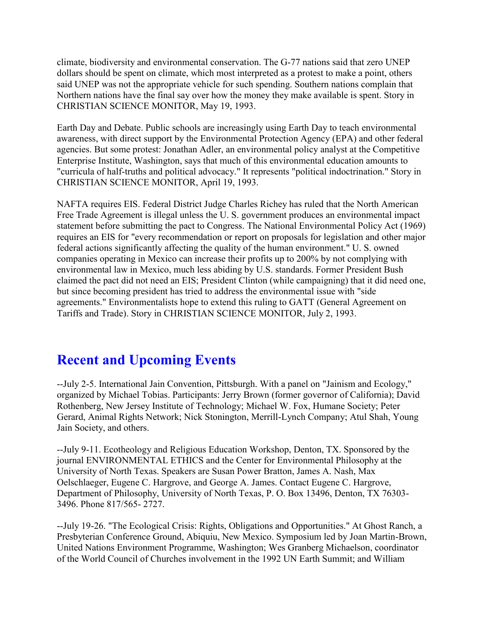climate, biodiversity and environmental conservation. The G-77 nations said that zero UNEP dollars should be spent on climate, which most interpreted as a protest to make a point, others said UNEP was not the appropriate vehicle for such spending. Southern nations complain that Northern nations have the final say over how the money they make available is spent. Story in CHRISTIAN SCIENCE MONITOR, May 19, 1993.

Earth Day and Debate. Public schools are increasingly using Earth Day to teach environmental awareness, with direct support by the Environmental Protection Agency (EPA) and other federal agencies. But some protest: Jonathan Adler, an environmental policy analyst at the Competitive Enterprise Institute, Washington, says that much of this environmental education amounts to "curricula of half-truths and political advocacy." It represents "political indoctrination." Story in CHRISTIAN SCIENCE MONITOR, April 19, 1993.

NAFTA requires EIS. Federal District Judge Charles Richey has ruled that the North American Free Trade Agreement is illegal unless the U. S. government produces an environmental impact statement before submitting the pact to Congress. The National Environmental Policy Act (1969) requires an EIS for "every recommendation or report on proposals for legislation and other major federal actions significantly affecting the quality of the human environment." U. S. owned companies operating in Mexico can increase their profits up to 200% by not complying with environmental law in Mexico, much less abiding by U.S. standards. Former President Bush claimed the pact did not need an EIS; President Clinton (while campaigning) that it did need one, but since becoming president has tried to address the environmental issue with "side agreements." Environmentalists hope to extend this ruling to GATT (General Agreement on Tariffs and Trade). Story in CHRISTIAN SCIENCE MONITOR, July 2, 1993.

# **Recent and Upcoming Events**

--July 2-5. International Jain Convention, Pittsburgh. With a panel on "Jainism and Ecology," organized by Michael Tobias. Participants: Jerry Brown (former governor of California); David Rothenberg, New Jersey Institute of Technology; Michael W. Fox, Humane Society; Peter Gerard, Animal Rights Network; Nick Stonington, Merrill-Lynch Company; Atul Shah, Young Jain Society, and others.

--July 9-11. Ecotheology and Religious Education Workshop, Denton, TX. Sponsored by the journal ENVIRONMENTAL ETHICS and the Center for Environmental Philosophy at the University of North Texas. Speakers are Susan Power Bratton, James A. Nash, Max Oelschlaeger, Eugene C. Hargrove, and George A. James. Contact Eugene C. Hargrove, Department of Philosophy, University of North Texas, P. O. Box 13496, Denton, TX 76303- 3496. Phone 817/565- 2727.

--July 19-26. "The Ecological Crisis: Rights, Obligations and Opportunities." At Ghost Ranch, a Presbyterian Conference Ground, Abiquiu, New Mexico. Symposium led by Joan Martin-Brown, United Nations Environment Programme, Washington; Wes Granberg Michaelson, coordinator of the World Council of Churches involvement in the 1992 UN Earth Summit; and William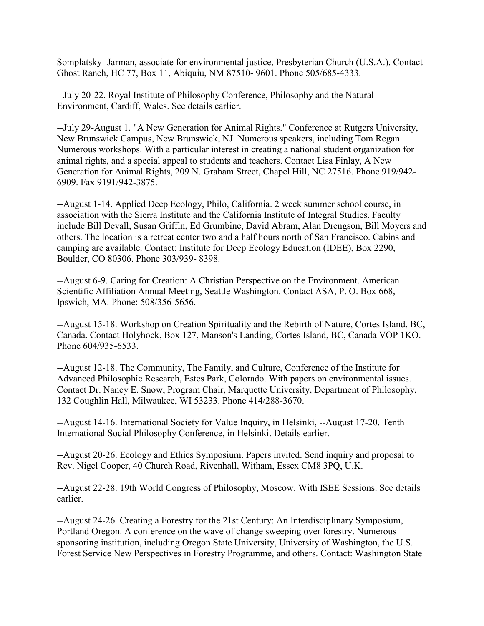Somplatsky- Jarman, associate for environmental justice, Presbyterian Church (U.S.A.). Contact Ghost Ranch, HC 77, Box 11, Abiquiu, NM 87510- 9601. Phone 505/685-4333.

--July 20-22. Royal Institute of Philosophy Conference, Philosophy and the Natural Environment, Cardiff, Wales. See details earlier.

--July 29-August 1. "A New Generation for Animal Rights." Conference at Rutgers University, New Brunswick Campus, New Brunswick, NJ. Numerous speakers, including Tom Regan. Numerous workshops. With a particular interest in creating a national student organization for animal rights, and a special appeal to students and teachers. Contact Lisa Finlay, A New Generation for Animal Rights, 209 N. Graham Street, Chapel Hill, NC 27516. Phone 919/942- 6909. Fax 9191/942-3875.

--August 1-14. Applied Deep Ecology, Philo, California. 2 week summer school course, in association with the Sierra Institute and the California Institute of Integral Studies. Faculty include Bill Devall, Susan Griffin, Ed Grumbine, David Abram, Alan Drengson, Bill Moyers and others. The location is a retreat center two and a half hours north of San Francisco. Cabins and camping are available. Contact: Institute for Deep Ecology Education (IDEE), Box 2290, Boulder, CO 80306. Phone 303/939- 8398.

--August 6-9. Caring for Creation: A Christian Perspective on the Environment. American Scientific Affiliation Annual Meeting, Seattle Washington. Contact ASA, P. O. Box 668, Ipswich, MA. Phone: 508/356-5656.

--August 15-18. Workshop on Creation Spirituality and the Rebirth of Nature, Cortes Island, BC, Canada. Contact Holyhock, Box 127, Manson's Landing, Cortes Island, BC, Canada VOP 1KO. Phone 604/935-6533.

--August 12-18. The Community, The Family, and Culture, Conference of the Institute for Advanced Philosophic Research, Estes Park, Colorado. With papers on environmental issues. Contact Dr. Nancy E. Snow, Program Chair, Marquette University, Department of Philosophy, 132 Coughlin Hall, Milwaukee, WI 53233. Phone 414/288-3670.

--August 14-16. International Society for Value Inquiry, in Helsinki, --August 17-20. Tenth International Social Philosophy Conference, in Helsinki. Details earlier.

--August 20-26. Ecology and Ethics Symposium. Papers invited. Send inquiry and proposal to Rev. Nigel Cooper, 40 Church Road, Rivenhall, Witham, Essex CM8 3PQ, U.K.

--August 22-28. 19th World Congress of Philosophy, Moscow. With ISEE Sessions. See details earlier.

--August 24-26. Creating a Forestry for the 21st Century: An Interdisciplinary Symposium, Portland Oregon. A conference on the wave of change sweeping over forestry. Numerous sponsoring institution, including Oregon State University, University of Washington, the U.S. Forest Service New Perspectives in Forestry Programme, and others. Contact: Washington State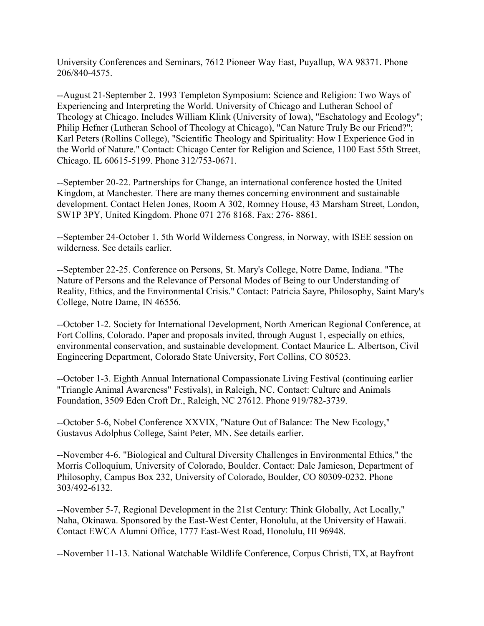University Conferences and Seminars, 7612 Pioneer Way East, Puyallup, WA 98371. Phone 206/840-4575.

--August 21-September 2. 1993 Templeton Symposium: Science and Religion: Two Ways of Experiencing and Interpreting the World. University of Chicago and Lutheran School of Theology at Chicago. Includes William Klink (University of Iowa), "Eschatology and Ecology"; Philip Hefner (Lutheran School of Theology at Chicago), "Can Nature Truly Be our Friend?"; Karl Peters (Rollins College), "Scientific Theology and Spirituality: How I Experience God in the World of Nature." Contact: Chicago Center for Religion and Science, 1100 East 55th Street, Chicago. IL 60615-5199. Phone 312/753-0671.

--September 20-22. Partnerships for Change, an international conference hosted the United Kingdom, at Manchester. There are many themes concerning environment and sustainable development. Contact Helen Jones, Room A 302, Romney House, 43 Marsham Street, London, SW1P 3PY, United Kingdom. Phone 071 276 8168. Fax: 276- 8861.

--September 24-October 1. 5th World Wilderness Congress, in Norway, with ISEE session on wilderness. See details earlier.

--September 22-25. Conference on Persons, St. Mary's College, Notre Dame, Indiana. "The Nature of Persons and the Relevance of Personal Modes of Being to our Understanding of Reality, Ethics, and the Environmental Crisis." Contact: Patricia Sayre, Philosophy, Saint Mary's College, Notre Dame, IN 46556.

--October 1-2. Society for International Development, North American Regional Conference, at Fort Collins, Colorado. Paper and proposals invited, through August 1, especially on ethics, environmental conservation, and sustainable development. Contact Maurice L. Albertson, Civil Engineering Department, Colorado State University, Fort Collins, CO 80523.

--October 1-3. Eighth Annual International Compassionate Living Festival (continuing earlier "Triangle Animal Awareness" Festivals), in Raleigh, NC. Contact: Culture and Animals Foundation, 3509 Eden Croft Dr., Raleigh, NC 27612. Phone 919/782-3739.

--October 5-6, Nobel Conference XXVIX, "Nature Out of Balance: The New Ecology," Gustavus Adolphus College, Saint Peter, MN. See details earlier.

--November 4-6. "Biological and Cultural Diversity Challenges in Environmental Ethics," the Morris Colloquium, University of Colorado, Boulder. Contact: Dale Jamieson, Department of Philosophy, Campus Box 232, University of Colorado, Boulder, CO 80309-0232. Phone 303/492-6132.

--November 5-7, Regional Development in the 21st Century: Think Globally, Act Locally," Naha, Okinawa. Sponsored by the East-West Center, Honolulu, at the University of Hawaii. Contact EWCA Alumni Office, 1777 East-West Road, Honolulu, HI 96948.

--November 11-13. National Watchable Wildlife Conference, Corpus Christi, TX, at Bayfront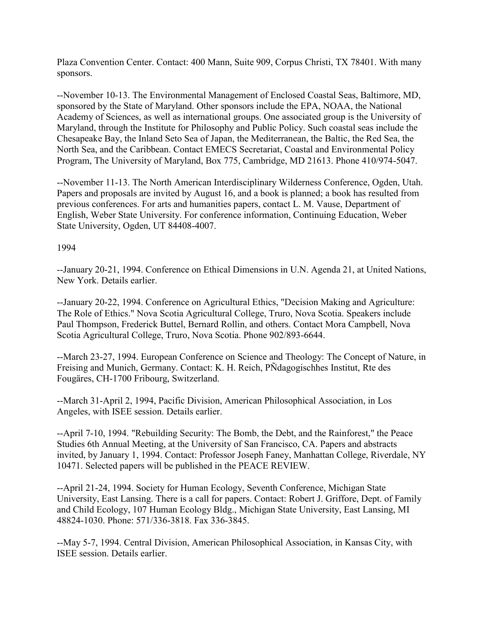Plaza Convention Center. Contact: 400 Mann, Suite 909, Corpus Christi, TX 78401. With many sponsors.

--November 10-13. The Environmental Management of Enclosed Coastal Seas, Baltimore, MD, sponsored by the State of Maryland. Other sponsors include the EPA, NOAA, the National Academy of Sciences, as well as international groups. One associated group is the University of Maryland, through the Institute for Philosophy and Public Policy. Such coastal seas include the Chesapeake Bay, the Inland Seto Sea of Japan, the Mediterranean, the Baltic, the Red Sea, the North Sea, and the Caribbean. Contact EMECS Secretariat, Coastal and Environmental Policy Program, The University of Maryland, Box 775, Cambridge, MD 21613. Phone 410/974-5047.

--November 11-13. The North American Interdisciplinary Wilderness Conference, Ogden, Utah. Papers and proposals are invited by August 16, and a book is planned; a book has resulted from previous conferences. For arts and humanities papers, contact L. M. Vause, Department of English, Weber State University. For conference information, Continuing Education, Weber State University, Ogden, UT 84408-4007.

#### 1994

--January 20-21, 1994. Conference on Ethical Dimensions in U.N. Agenda 21, at United Nations, New York. Details earlier.

--January 20-22, 1994. Conference on Agricultural Ethics, "Decision Making and Agriculture: The Role of Ethics." Nova Scotia Agricultural College, Truro, Nova Scotia. Speakers include Paul Thompson, Frederick Buttel, Bernard Rollin, and others. Contact Mora Campbell, Nova Scotia Agricultural College, Truro, Nova Scotia. Phone 902/893-6644.

--March 23-27, 1994. European Conference on Science and Theology: The Concept of Nature, in Freising and Munich, Germany. Contact: K. H. Reich, PÑdagogischhes Institut, Rte des Fougäres, CH-1700 Fribourg, Switzerland.

--March 31-April 2, 1994, Pacific Division, American Philosophical Association, in Los Angeles, with ISEE session. Details earlier.

--April 7-10, 1994. "Rebuilding Security: The Bomb, the Debt, and the Rainforest," the Peace Studies 6th Annual Meeting, at the University of San Francisco, CA. Papers and abstracts invited, by January 1, 1994. Contact: Professor Joseph Faney, Manhattan College, Riverdale, NY 10471. Selected papers will be published in the PEACE REVIEW.

--April 21-24, 1994. Society for Human Ecology, Seventh Conference, Michigan State University, East Lansing. There is a call for papers. Contact: Robert J. Griffore, Dept. of Family and Child Ecology, 107 Human Ecology Bldg., Michigan State University, East Lansing, MI 48824-1030. Phone: 571/336-3818. Fax 336-3845.

--May 5-7, 1994. Central Division, American Philosophical Association, in Kansas City, with ISEE session. Details earlier.